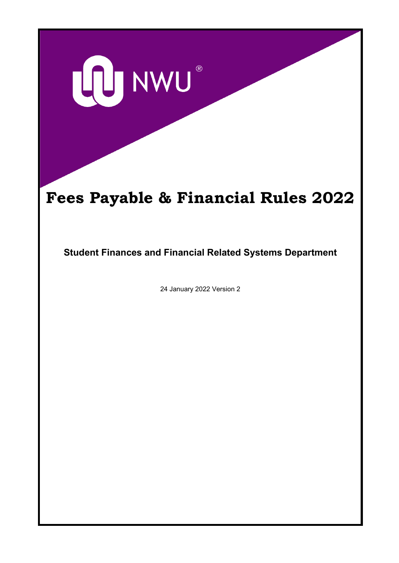

# **Fees Payable & Financial Rules 2022**

**Student Finances and Financial Related Systems Department**

24 January 2022 Version 2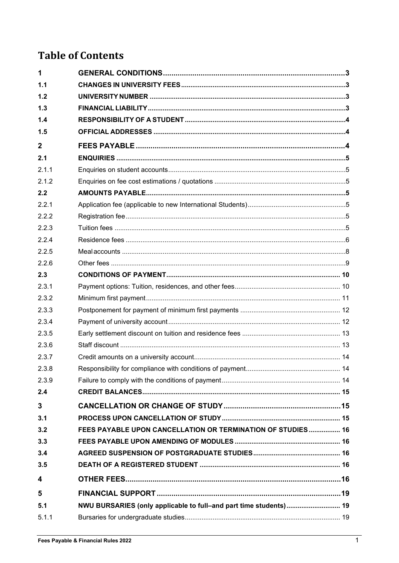## **Table of Contents**

| 1            |                                                                   |  |
|--------------|-------------------------------------------------------------------|--|
| 1.1          |                                                                   |  |
| 1.2          |                                                                   |  |
| 1.3          |                                                                   |  |
| 1.4          |                                                                   |  |
| 1.5          |                                                                   |  |
| $\mathbf{2}$ |                                                                   |  |
| 2.1          |                                                                   |  |
| 2.1.1        |                                                                   |  |
| 2.1.2        |                                                                   |  |
| 2.2          |                                                                   |  |
| 2.2.1        |                                                                   |  |
| 2.2.2        |                                                                   |  |
| 2.2.3        |                                                                   |  |
| 2.2.4        |                                                                   |  |
| 2.2.5        |                                                                   |  |
| 2.2.6        |                                                                   |  |
| 2.3          |                                                                   |  |
| 2.3.1        |                                                                   |  |
| 2.3.2        |                                                                   |  |
| 2.3.3        |                                                                   |  |
| 2.3.4        |                                                                   |  |
| 2.3.5        |                                                                   |  |
| 2.3.6        |                                                                   |  |
| 2.3.7        |                                                                   |  |
| 2.3.8        |                                                                   |  |
| 2.3.9        |                                                                   |  |
| 2.4          |                                                                   |  |
| 3            |                                                                   |  |
| 3.1          |                                                                   |  |
| 3.2          | FEES PAYABLE UPON CANCELLATION OR TERMINATION OF STUDIES 16       |  |
| 3.3          |                                                                   |  |
| 3.4          |                                                                   |  |
| 3.5          |                                                                   |  |
| 4            |                                                                   |  |
| 5            |                                                                   |  |
| 5.1          | NWU BURSARIES (only applicable to full-and part time students) 19 |  |
| 5.1.1        |                                                                   |  |
|              |                                                                   |  |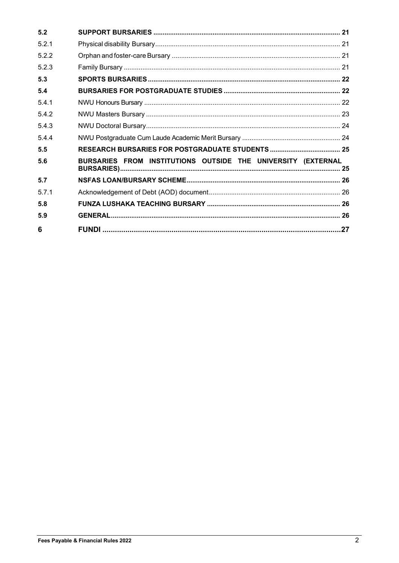| 5.2   |                                                              |    |
|-------|--------------------------------------------------------------|----|
| 5.2.1 |                                                              |    |
| 5.2.2 |                                                              |    |
| 5.2.3 |                                                              |    |
| 5.3   |                                                              |    |
| 5.4   |                                                              |    |
| 5.4.1 |                                                              |    |
| 5.4.2 |                                                              |    |
| 5.4.3 |                                                              |    |
| 5.4.4 |                                                              |    |
| 5.5   |                                                              |    |
| 5.6   | BURSARIES FROM INSTITUTIONS OUTSIDE THE UNIVERSITY (EXTERNAL |    |
| 5.7   |                                                              |    |
| 5.7.1 |                                                              |    |
| 5.8   |                                                              |    |
| 5.9   |                                                              |    |
| 6     |                                                              | 27 |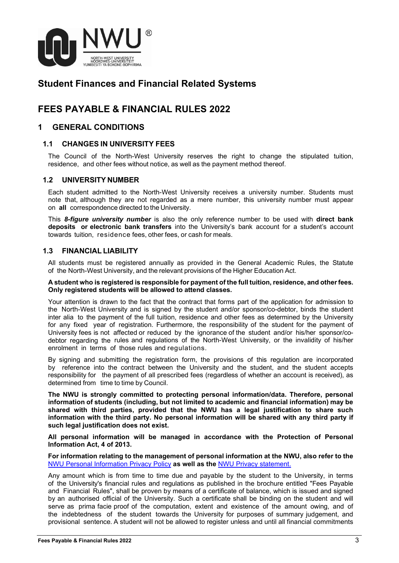

## **Student Finances and Financial Related Systems**

## **FEES PAYABLE & FINANCIAL RULES 2022**

## <span id="page-3-0"></span>**1 GENERAL CONDITIONS**

#### <span id="page-3-1"></span>**1.1 CHANGES IN UNIVERSITY FEES**

The Council of the North-West University reserves the right to change the stipulated tuition, residence, and other fees without notice, as well as the payment method thereof.

#### <span id="page-3-2"></span>**1.2 UNIVERSITY NUMBER**

Each student admitted to the North-West University receives a university number. Students must note that, although they are not regarded as a mere number, this university number must appear on **all** correspondence directed to the University.

This *8-figure university number* is also the only reference number to be used with **direct bank deposits or electronic bank transfers** into the University's bank account for a student's account towards tuition, residence fees, other fees, or cash for meals.

#### <span id="page-3-3"></span>**1.3 FINANCIAL LIABILITY**

All students must be registered annually as provided in the General Academic Rules, the Statute of the North-West University, and the relevant provisions of the Higher Education Act.

#### **A student who is registered is responsible for payment of the full tuition, residence, and otherfees. Only registered students will be allowed to attend classes.**

Your attention is drawn to the fact that the contract that forms part of the application for admission to the North-West University and is signed by the student and/or sponsor/co-debtor, binds the student inter alia to the payment of the full tuition, residence and other fees as determined by the University for any fixed year of registration. Furthermore, the responsibility of the student for the payment of University fees is not affected or reduced by the ignorance of the student and/or his/her sponsor/codebtor regarding the rules and regulations of the North-West University, or the invalidity of his/her enrolment in terms of those rules and regulations.

By signing and submitting the registration form, the provisions of this regulation are incorporated by reference into the contract between the University and the student, and the student accepts responsibility for the payment of all prescribed fees (regardless of whether an account is received), as determined from time to time by Council.

**The NWU is strongly committed to protecting personal information/data. Therefore, personal information of students (including, but not limited to academic and financial information) may be shared with third parties, provided that the NWU has a legal justification to share such information with the third party. No personal information will be shared with any third party if such legal justification does not exist.**

**All personal information will be managed in accordance with the Protection of Personal Information Act, 4 of 2013.**

**For information relating to the management of personal information at the NWU, also refer to th[e](https://www.nwu.ac.za/sites/www.nwu.ac.za/files/files/i-governance-management/policy/2021%20Update/1P_1.1.12/1P_1.1.12_2021_e2.pdf)** [NWU Personal Information Privacy Policy](https://www.nwu.ac.za/sites/www.nwu.ac.za/files/files/i-governance-management/policy/2021%20Update/1P_1.1.12/1P_1.1.12_2021_e2.pdf) **as well as the** [NWU Privacy statement.](https://www.nwu.ac.za/NWU_Privacy_Statement)

Any amount which is from time to time due and payable by the student to the University, in terms of the University's financial rules and regulations as published in the brochure entitled "Fees Payable and Financial Rules", shall be proven by means of a certificate of balance, which is issued and signed by an authorised official of the University. Such a certificate shall be binding on the student and will serve as prima facie proof of the computation, extent and existence of the amount owing, and of the indebtedness of the student towards the University for purposes of summary judgement, and provisional sentence. A student will not be allowed to register unless and until all financial commitments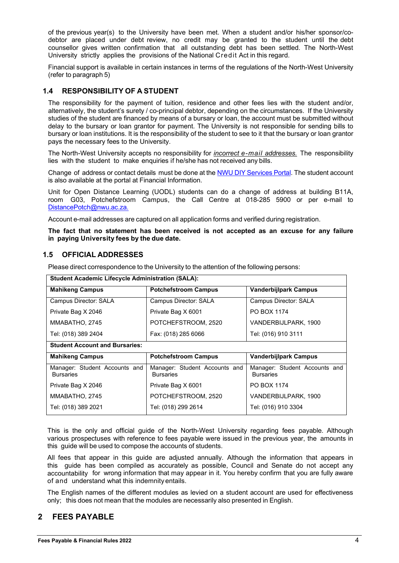of the previous year(s) to the University have been met. When a student and/or his/her sponsor/codebtor are placed under debt review, no credit may be granted to the student until the debt counsellor gives written confirmation that all outstanding debt has been settled. The North-West University strictly applies the provisions of the National Credit Act in this regard.

Financial support is available in certain instances in terms of the regulations of the North-West University (refer to paragraph 5)

## <span id="page-4-0"></span>**1.4 RESPONSIBILITY OF A STUDENT**

The responsibility for the payment of tuition, residence and other fees lies with the student and/or, alternatively, the student's surety / co-principal debtor, depending on the circumstances. If the University studies of the student are financed by means of a bursary or loan, the account must be submitted without delay to the bursary or loan grantor for payment. The University is not responsible for sending bills to bursary or loan institutions. It is the responsibility of the student to see to it that the bursary or loan grantor pays the necessary fees to the University.

The North-West University accepts no responsibility for *incorrect e-mail addresses.* The responsibility lies with the student to make enquiries if he/she has not received any bills.

Change of address or contact details must be done at the NWU DIY [Services](https://diyservices.nwu.ac.za/student-360) Portal. The student account is also available at the portal at Financial Information.

Unit for Open Distance Learning (UODL) students can do a change of address at building B11A, room G03, Potchefstroom Campus, the Call Centre at 018-285 5900 or per e-mail to [DistancePotch@nwu.ac.za.](mailto:DistancePotch@nwu.ac.za.)

Account e-mail addresses are captured on all application forms and verified during registration.

**The fact that no statement has been received is not accepted as an excuse for any failure in paying University fees by the due date.**

## <span id="page-4-1"></span>**1.5 OFFICIAL ADDRESSES**

Please direct correspondence to the University to the attention of the following persons:

| Student Academic Enecycle Administration (SAEA).  |                                                   |                                                   |  |  |  |
|---------------------------------------------------|---------------------------------------------------|---------------------------------------------------|--|--|--|
| <b>Mahikeng Campus</b>                            | <b>Potchefstroom Campus</b>                       | <b>Vanderbijlpark Campus</b>                      |  |  |  |
| Campus Director: SALA                             | Campus Director: SALA                             | Campus Director: SALA                             |  |  |  |
| Private Bag X 2046                                | Private Bag X 6001                                | PO BOX 1174                                       |  |  |  |
| MMABATHO, 2745                                    | POTCHEFSTROOM, 2520                               | VANDERBIJLPARK, 1900                              |  |  |  |
| Tel: (018) 389 2404                               | Fax: (018) 285 6066                               | Tel: (016) 910 3111                               |  |  |  |
| <b>Student Account and Bursaries:</b>             |                                                   |                                                   |  |  |  |
| <b>Mahikeng Campus</b>                            | <b>Potchefstroom Campus</b>                       | <b>Vanderbijlpark Campus</b>                      |  |  |  |
| Manager: Student Accounts and<br><b>Bursaries</b> | Manager: Student Accounts and<br><b>Bursaries</b> | Manager: Student Accounts and<br><b>Bursaries</b> |  |  |  |
| Private Bag X 2046                                | Private Bag X 6001                                | PO BOX 1174                                       |  |  |  |
| MMABATHO, 2745                                    | POTCHEFSTROOM, 2520                               | VANDERBIJLPARK, 1900                              |  |  |  |
| Tel: (018) 389 2021                               | Tel: (018) 299 2614                               | Tel: (016) 910 3304                               |  |  |  |

**Student Academic Lifecycle Administration (SALA):**

This is the only and official guide of the North-West University regarding fees payable. Although various prospectuses with reference to fees payable were issued in the previous year, the amounts in this guide will be used to compose the accounts of students.

All fees that appear in this guide are adjusted annually. Although the information that appears in this guide has been compiled as accurately as possible, Council and Senate do not accept any accountability for wrong information that may appear in it. You hereby confirm that you are fully aware of and understand what this indemnity entails.

The English names of the different modules as levied on a student account are used for effectiveness only; this does not mean that the modules are necessarily also presented in English.

## <span id="page-4-2"></span>**2 FEES PAYABLE**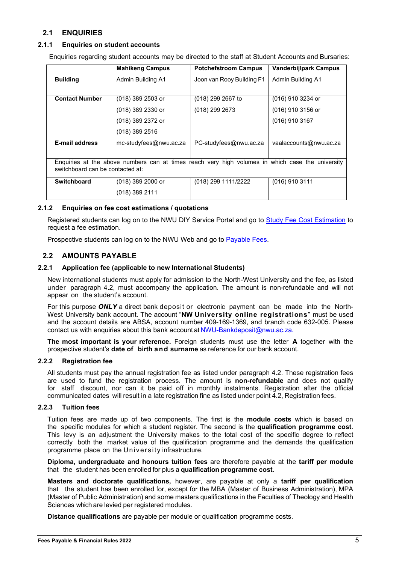## <span id="page-5-0"></span>**2.1 ENQUIRIES**

#### <span id="page-5-1"></span>**2.1.1 Enquiries on student accounts**

Enquiries regarding student accounts may be directed to the staff at Student Accounts and Bursaries:

|                                                                                                                                      | <b>Mahikeng Campus</b> | <b>Potchefstroom Campus</b> | <b>Vanderbijlpark Campus</b> |
|--------------------------------------------------------------------------------------------------------------------------------------|------------------------|-----------------------------|------------------------------|
| <b>Building</b>                                                                                                                      | Admin Building A1      | Joon van Rooy Building F1   | Admin Building A1            |
| <b>Contact Number</b>                                                                                                                | (018) 389 2503 or      | (018) 299 2667 to           | (016) 910 3234 or            |
|                                                                                                                                      | (018) 389 2330 or      | (018) 299 2673              | (016) 910 3156 or            |
|                                                                                                                                      | (018) 389 2372 or      |                             | $(016)$ 910 3167             |
|                                                                                                                                      | $(018)$ 389 2516       |                             |                              |
| <b>E-mail address</b>                                                                                                                | mc-studyfees@nwu.ac.za | PC-studyfees@nwu.ac.za      | vaalaccounts@nwu.ac.za       |
| Enquiries at the above numbers can at times reach very high volumes in which case the university<br>switchboard can be contacted at: |                        |                             |                              |
| <b>Switchboard</b>                                                                                                                   | (018) 389 2000 or      | (018) 299 1111/2222         | (016) 910 3111               |
|                                                                                                                                      | $(018)$ 389 2111       |                             |                              |

#### <span id="page-5-2"></span>**2.1.2 Enquiries on fee cost estimations / quotations**

Registered students can log on to the NWU DIY Service Portal and go to [Study Fee Cost Estimation](https://diyservices.nwu.ac.za/study-fee-cost-estimation) to request a fee estimation.

Prospective students can log on to the NWU Web and go to [Payable Fees.](https://wfp-lb1-rh7.nwu.ac.za/study-fee-cost-estimation/insecure)

#### <span id="page-5-3"></span>**2.2 AMOUNTS PAYABLE**

#### <span id="page-5-4"></span>**2.2.1 Application fee (applicable to new International Students)**

New international students must apply for admission to the North-West University and the fee, as listed under paragraph 4.2, must accompany the application. The amount is non-refundable and will not appear on the student's account.

For this purpose *ONLY* a direct bank deposit or electronic payment can be made into the North-West University bank account. The account "**NW University online registrations**" must be used and the account details are ABSA, account number 409-169-1369, and branch code 632-005. Please contact us with enquiries about this bank account at [NWU-Bankdeposit@nwu.ac.za.](mailto:NW%20U-Bankdeposit@nwu.ac.za.)

**The most important is your reference.** Foreign students must use the letter **A** together with the prospective student's **date of birth and surname** as reference for our bank account.

#### <span id="page-5-5"></span>**2.2.2 Registration fee**

All students must pay the annual registration fee as listed under paragraph 4.2. These registration fees are used to fund the registration process. The amount is **non-refundable** and does not qualify for staff discount, nor can it be paid off in monthly instalments. Registration after the official communicated dates will result in a late registration fine as listed under point 4.2, Registration fees.

#### <span id="page-5-6"></span>**2.2.3 Tuition fees**

Tuition fees are made up of two components. The first is the **module costs** which is based on the specific modules for which a student register. The second is the **qualification programme cost**. This levy is an adjustment the University makes to the total cost of the specific degree to reflect correctly both the market value of the qualification programme and the demands the qualification programme place on the University infrastructure.

**Diploma, undergraduate and honours tuition fees** are therefore payable at the **tariff per module** that the student has been enrolled for plus a **qualification programme cost**.

**Masters and doctorate qualifications,** however, are payable at only a **tariff per qualification** that the student has been enrolled for, except for the MBA (Master of Business Administration), MPA (Master of Public Administration) and some masters qualifications in the Faculties of Theology and Health Sciences which are levied per registered modules.

**Distance qualifications** are payable per module or qualification programme costs.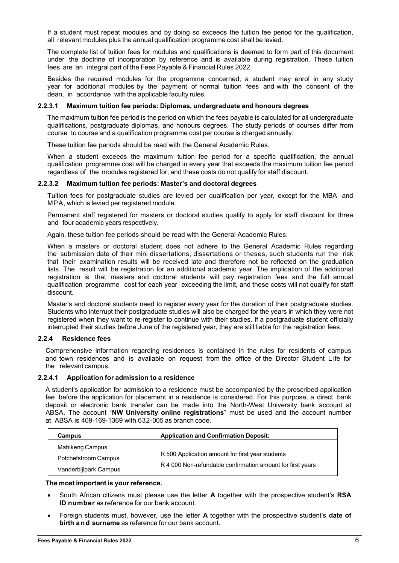If a student must repeat modules and by doing so exceeds the tuition fee period for the qualification, all relevant modules plus the annual qualification programme cost shall be levied.

The complete list of tuition fees for modules and qualifications is deemed to form part of this document under the doctrine of incorporation by reference and is available during registration. These tuition fees are an integral part of the Fees Payable & Financial Rules 2022.

Besides the required modules for the programme concerned, a student may enrol in any study year for additional modules by the payment of normal tuition fees and with the consent of the dean, in accordance with the applicable faculty rules.

#### **2.2.3.1 Maximum tuition fee periods: Diplomas, undergraduate and honours degrees**

The maximum tuition fee period is the period on which the fees payable is calculated for all undergraduate qualifications, postgraduate diplomas, and honours degrees. The study periods of courses differ from course to course and a qualification programme cost per course is charged annually.

These tuition fee periods should be read with the General Academic Rules.

When a student exceeds the maximum tuition fee period for a specific qualification, the annual qualification programme cost will be charged in every year that exceeds the maximum tuition fee period regardless of the modules registered for, and these costs do not qualify for staff discount.

#### **2.2.3.2 Maximum tuition fee periods: Master's and doctoral degrees**

Tuition fees for postgraduate studies are levied per qualification per year, except for the MBA and MPA, which is levied per registered module.

Permanent staff registered for masters or doctoral studies qualify to apply for staff discount for three and four academic years respectively*.*

Again, these tuition fee periods should be read with the General Academic Rules.

When a masters or doctoral student does not adhere to the General Academic Rules regarding the submission date of their mini dissertations, dissertations or theses, such students run the risk that their examination results will be received late and therefore not be reflected on the graduation lists. The result will be registration for an additional academic year. The implication of the additional registration is that masters and doctoral students will pay registration fees and the full annual qualification programme cost for each year exceeding the limit, and these costs will not qualify for staff discount.

Master's and doctoral students need to register every year for the duration of their postgraduate studies. Students who interrupt their postgraduate studies will also be charged for the years in which they were not registered when they want to re-register to continue with their studies. If a postgraduate student officially interrupted their studies before June of the registered year, they are still liable for the registration fees.

#### <span id="page-6-0"></span>**2.2.4 Residence fees**

Comprehensive information regarding residences is contained in the rules for residents of campus and town residences and is available on request from the office of the Director Student L ife for the relevant campus.

#### **2.2.4.1 Application for admission to a residence**

A student's application for admission to a residence must be accompanied by the prescribed application fee before the application for placement in a residence is considered. For this purpose, a direct bank deposit or electronic bank transfer can be made into the North-West University bank account at ABSA. The account "**NW University online registrations**" must be used and the account number at ABSA is 409-169-1369 with 632-005 as branch code.

| Campus                                                           | <b>Application and Confirmation Deposit:</b>                                                                   |
|------------------------------------------------------------------|----------------------------------------------------------------------------------------------------------------|
| Mahikeng Campus<br>Potchefstroom Campus<br>Vanderbijlpark Campus | R 500 Application amount for first year students<br>R 4 000 Non-refundable confirmation amount for first years |

#### **The most important is yourreference.**

- South African citizens must please use the letter **A** together with the prospective student's **RSA ID number** as reference for our bank account.
- Foreign students must, however, use the letter **A** together with the prospective student's **date of birth and surname** as reference for our bank account.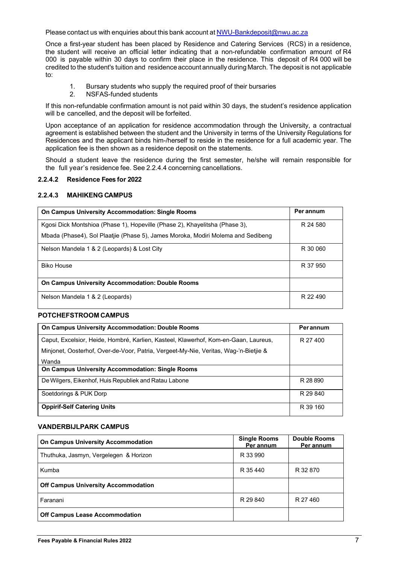Please contact us with enquiries about this bank account at [NWU-Bankdeposit@nwu.ac.za](mailto:NWU-Bankdeposit@nwu.ac.za)

Once a first-year student has been placed by Residence and Catering Services (RCS) in a residence, the student will receive an official letter indicating that a non-refundable confirmation amount of R4 000 is payable within 30 days to confirm their place in the residence. This deposit of R4 000 will be credited to the student's tuition and residence account annually during March. The deposit is not applicable to:

- 1. Bursary students who supply the required proof of their bursaries<br>2. NSFAS-funded students
- NSFAS-funded students

If this non-refundable confirmation amount is not paid within 30 days, the student's residence application will be cancelled, and the deposit will be forfeited.

Upon acceptance of an application for residence accommodation through the University, a contractual agreement is established between the student and the University in terms of the University Regulations for Residences and the applicant binds him-/herself to reside in the residence for a full academic year. The application fee is then shown as a residence deposit on the statements.

Should a student leave the residence during the first semester, he/she will remain responsible for the full year's residence fee. See 2.2.4.4 concerning cancellations.

#### **2.2.4.2 Residence Fees for 2022**

#### **2.2.4.3 MAHIKENG CAMPUS**

| <b>On Campus University Accommodation: Single Rooms</b>                          | Per annum |
|----------------------------------------------------------------------------------|-----------|
| Kgosi Dick Montshioa (Phase 1), Hopeville (Phase 2), Khayelitsha (Phase 3),      | R 24 580  |
| Mbada (Phase4), Sol Plaatjie (Phase 5), James Moroka, Modiri Molema and Sedibeng |           |
| Nelson Mandela 1 & 2 (Leopards) & Lost City                                      | R 30 060  |
| <b>Biko House</b>                                                                | R 37 950  |
| <b>On Campus University Accommodation: Double Rooms</b>                          |           |
| Nelson Mandela 1 & 2 (Leopards)                                                  | R 22 490  |

#### **POTCHEFSTROOM CAMPUS**

| On Campus University Accommodation: Double Rooms                                     | <b>Perannum</b> |
|--------------------------------------------------------------------------------------|-----------------|
| Caput, Excelsior, Heide, Hombré, Karlien, Kasteel, Klawerhof, Kom-en-Gaan, Laureus,  | R 27 400        |
| Minjonet, Oosterhof, Over-de-Voor, Patria, Vergeet-My-Nie, Veritas, Wag-'n-Bietjie & |                 |
| Wanda                                                                                |                 |
| <b>On Campus University Accommodation: Single Rooms</b>                              |                 |
| De Wilgers, Eikenhof, Huis Republiek and Ratau Labone                                | R 28 890        |
| Soetdorings & PUK Dorp                                                               | R 29 840        |
| <b>Oppirif-Self Catering Units</b>                                                   | R 39 160        |

#### **VANDERBIJLPARK CAMPUS**

| <b>On Campus University Accommodation</b>  | <b>Single Rooms</b><br>Per annum | <b>Double Rooms</b><br>Per annum |
|--------------------------------------------|----------------------------------|----------------------------------|
| Thuthuka, Jasmyn, Vergelegen & Horizon     | R 33 990                         |                                  |
| Kumba                                      | R 35 440                         | R 32 870                         |
| <b>Off Campus University Accommodation</b> |                                  |                                  |
| Faranani                                   | R 29 840                         | R 27 460                         |
| <b>Off Campus Lease Accommodation</b>      |                                  |                                  |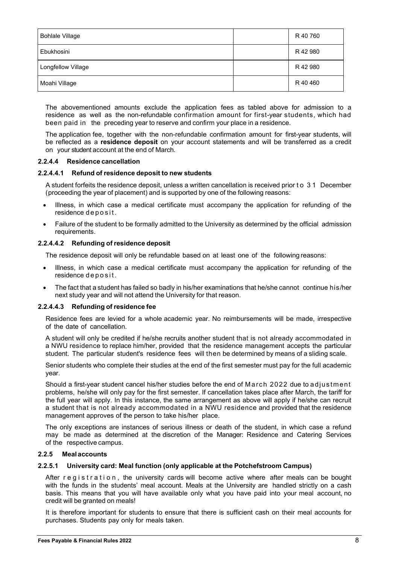| <b>Bohlale Village</b>    | R 40 760 |
|---------------------------|----------|
| Ebukhosini                | R 42 980 |
| <b>Longfellow Village</b> | R 42 980 |
| Moahi Village             | R 40 460 |

The abovementioned amounts exclude the application fees as tabled above for admission to a residence as well as the non-refundable confirmation amount for first-year students, which had been paid in the preceding year to reserve and confirm your place in a residence.

The application fee, together with the non-refundable confirmation amount for first-year students, will be reflected as a **residence deposit** on your account statements and will be transferred as a credit on your student account at the end of March.

#### **2.2.4.4 Residence cancellation**

#### **2.2.4.4.1 Refund of residence deposit to new students**

A student forfeits the residence deposit, unless a written cancellation is received prior t o 3 1 December (proceeding the year of placement) and is supported by one of the following reasons:

- Illness, in which case a medical certificate must accompany the application for refunding of the residence deposit .
- Failure of the student to be formally admitted to the University as determined by the official admission requirements.

#### **2.2.4.4.2 Refunding of residence deposit**

The residence deposit will only be refundable based on at least one of the following reasons:

- Illness, in which case a medical certificate must accompany the application for refunding of the residence deposit .
- The fact that a student has failed so badly in his/her examinations that he/she cannot continue his/her next study year and will not attend the University for that reason.

#### **2.2.4.4.3 Refunding of residence fee**

Residence fees are levied for a whole academic year. No reimbursements will be made, irrespective of the date of cancellation.

A student will only be credited if he/she recruits another student that is not already accommodated in a NWU residence to replace him/her, provided that the residence management accepts the particular student. The particular student's residence fees will then be determined by means of a sliding scale.

Senior students who complete their studies at the end of the first semester must pay for the full academic year.

Should a first-year student cancel his/her studies before the end of March 2022 due to adjustment problems, he/she will only pay for the first semester. If cancellation takes place after March, the tariff for the full year will apply. In this instance, the same arrangement as above will apply if he/she can recruit a student that is not already accommodated in a NWU residence and provided that the residence management approves of the person to take his/her place.

The only exceptions are instances of serious illness or death of the student, in which case a refund may be made as determined at the discretion of the Manager: Residence and Catering Services of the respective campus.

#### <span id="page-8-0"></span>**2.2.5 Mealaccounts**

#### **2.2.5.1 University card: Meal function (only applicable at the Potchefstroom Campus)**

After registration , the university cards will become active where after meals can be bought with the funds in the students' meal account. Meals at the University are handled strictly on a cash basis. This means that you will have available only what you have paid into your meal account, no credit will be granted on meals!

It is therefore important for students to ensure that there is sufficient cash on their meal accounts for purchases. Students pay only for meals taken.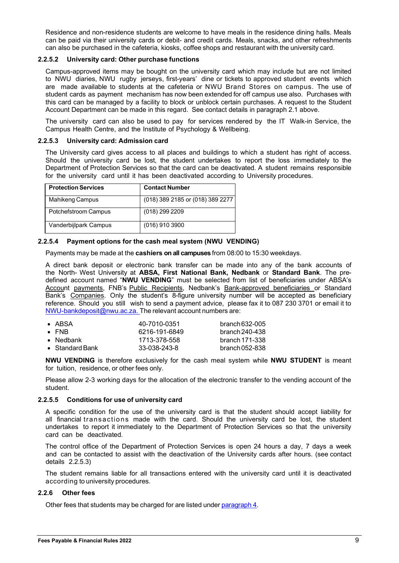Residence and non-residence students are welcome to have meals in the residence dining halls. Meals can be paid via their university cards or debit- and credit cards. Meals, snacks, and other refreshments can also be purchased in the cafeteria, kiosks, coffee shops and restaurant with the university card.

#### **2.2.5.2 University card: Other purchase functions**

Campus-approved items may be bought on the university card which may include but are not limited to NWU diaries, NWU rugby jerseys, first-years' dine or tickets to approved student events which are made available to students at the cafeteria or NWU Brand Stores on campus. The use of student cards as payment mechanism has now been extended for off campus use also. Purchases with this card can be managed by a facility to block or unblock certain purchases. A request to the Student Account Department can be made in this regard. See contact details in paragraph 2.1 above.

The university card can also be used to pay for services rendered by the IT Walk-in Service, the Campus Health Centre, and the Institute of Psychology & Wellbeing.

#### **2.2.5.3 University card: Admission card**

The University card gives access to all places and buildings to which a student has right of access. Should the university card be lost, the student undertakes to report the loss immediately to the Department of Protection Services so that the card can be deactivated. A student remains responsible for the university card until it has been deactivated according to University procedures.

| <b>Protection Services</b> | <b>Contact Number</b>            |
|----------------------------|----------------------------------|
| Mahikeng Campus            | (018) 389 2185 or (018) 389 2277 |
| Potchefstroom Campus       | $(018)$ 299 2209                 |
| Vanderbijlpark Campus      | $(016)$ 910 3900                 |

#### **2.2.5.4 Payment options for the cash meal system (NWU VENDING)**

Payments may be made at the **cashiers on all campuses** from 08:00 to 15:30 weekdays.

A direct bank deposit or electronic bank transfer can be made into any of the bank accounts of the North- West University at **ABSA, First National Bank, Nedbank** or **Standard Bank**. The predefined account named "**NWU VENDING**" must be selected from list of beneficiaries under ABSA's Account payments, FNB's Public Recipients, Nedbank's Bank-approved beneficiaries or Standard Bank's Companies. Only the student's 8-figure university number will be accepted as beneficiary reference. Should you still wish to send a payment advice, please fax it to 087 230 3701 or email it to [NWU-bankdeposit@nwu.ac.za.](mailto:NWU-bankdeposit@nwu.ac.za) The relevant account numbers are:

| $\bullet$ ABSA    | 40-7010-0351  | branch $632-005$ |
|-------------------|---------------|------------------|
| $\bullet$ FNR.    | 6216-191-6849 | branch 240-438   |
| $\bullet$ Nedbank | 1713-378-558  | branch 171-338   |
| • Standard Bank   | 33-038-243-8  | branch 052-838   |

**NWU VENDING** is therefore exclusively for the cash meal system while **NWU STUDENT** is meant for tuition, residence, or other fees only.

Please allow 2-3 working days for the allocation of the electronic transfer to the vending account of the student.

#### **2.2.5.5 Conditions for use of university card**

A specific condition for the use of the university card is that the student should accept liability for all financial transactions made with the card. Should the university card be lost, the student undertakes to report it immediately to the Department of Protection Services so that the university card can be deactivated.

The control office of the Department of Protection Services is open 24 hours a day, 7 days a week and can be contacted to assist with the deactivation of the University cards after hours. (see contact details 2.2.5.3)

The student remains liable for all transactions entered with the university card until it is deactivated according to university procedures.

#### <span id="page-9-0"></span>**2.2.6 Other fees**

Other fees that students may be charged for are listed under [paragraph](#page-16-4) 4.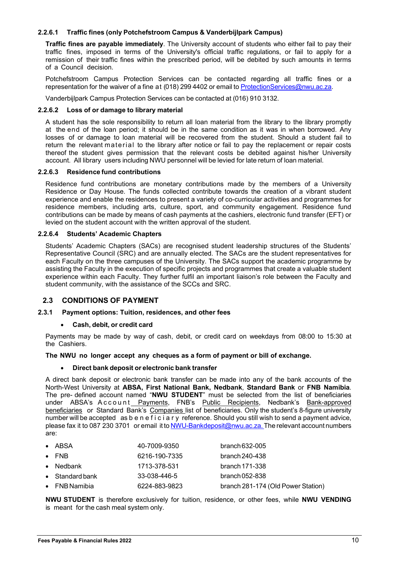#### **2.2.6.1 Traffic fines (only Potchefstroom Campus & Vanderbijlpark Campus)**

**Traffic fines are payable immediately**. The University account of students who either fail to pay their traffic fines, imposed in terms of the University's official traffic regulations, or fail to apply for a remission of their traffic fines within the prescribed period, will be debited by such amounts in terms of a Council decision.

Potchefstroom Campus Protection Services can be contacted regarding all traffic fines or a representation for the waiver of a fine at (018) 299 4402 or email to [ProtectionServices@nwu.ac.za.](mailto:ProtectionServices@nwu.ac.za)

Vanderbijlpark Campus Protection Services can be contacted at (016) 910 3132.

#### **2.2.6.2 Loss of or damage to library material**

A student has the sole responsibility to return all loan material from the library to the library promptly at the end of the loan period; it should be in the same condition as it was in when borrowed. Any losses of or damage to loan material will be recovered from the student. Should a student fail to return the relevant material to the library after notice or fail to pay the replacement or repair costs thereof the student gives permission that the relevant costs be debited against his/her University account. All library users including NWU personnel will be levied for late return of loan material.

#### **2.2.6.3 Residence fund contributions**

Residence fund contributions are monetary contributions made by the members of a University Residence or Day House. The funds collected contribute towards the creation of a vibrant student experience and enable the residences to present a variety of co-curricular activities and programmes for residence members, including arts, culture, sport, and community engagement. Residence fund contributions can be made by means of cash payments at the cashiers, electronic fund transfer (EFT) or levied on the student account with the written approval of the student.

#### **2.2.6.4 Students' Academic Chapters**

Students' Academic Chapters (SACs) are recognised student leadership structures of the Students' Representative Council (SRC) and are annually elected. The SACs are the student representatives for each Faculty on the three campuses of the University. The SACs support the academic programme by assisting the Faculty in the execution of specific projects and programmes that create a valuable student experience within each Faculty. They further fulfil an important liaison's role between the Faculty and student community, with the assistance of the SCCs and SRC.

#### <span id="page-10-0"></span>**2.3 CONDITIONS OF PAYMENT**

#### <span id="page-10-1"></span>**2.3.1 Payment options: Tuition, residences, and other fees**

• **Cash, debit, or credit card**

Payments may be made by way of cash, debit, or credit card on weekdays from 08:00 to 15:30 at the Cashiers.

#### **The NWU no longer accept any cheques as a form of payment or bill of exchange.**

• **Direct bank deposit or electronic bank transfer**

A direct bank deposit or electronic bank transfer can be made into any of the bank accounts of the North-West University at **ABSA, First National Bank, Nedbank**, **Standard Bank** or **FNB Namibia**. The pre- defined account named "**NWU STUDENT**" must be selected from the list of beneficiaries under ABSA's Account Payments, FNB's Public Recipients, Nedbank's Bank-approved beneficiaries or Standard Bank's Companies list of beneficiaries. Only the student's 8-figure university number will be accepted as b e n e f i c i a r y reference. Should you still wish to send a payment advice, please fax it to 087 230 3701 or email it to [NWU-Bankdeposit@nwu.ac.za.](mailto:NW%20U-Bankdeposit@nwu.ac.za.) The relevant account numbers are:

| $\bullet$ ABSA          | 40-7009-9350  | branch $632-005$                   |
|-------------------------|---------------|------------------------------------|
| $\bullet$ FNB           | 6216-190-7335 | branch 240-438                     |
| $\bullet$ Nedbank       | 1713-378-531  | branch 171-338                     |
| $\bullet$ Standard bank | 33-038-446-5  | branch $052-838$                   |
| $\bullet$ FNB Namibia   | 6224-883-9823 | branch 281-174 (Old Power Station) |

**NWU STUDENT** is therefore exclusively for tuition, residence, or other fees, while **NWU VENDING** is meant for the cash meal system only.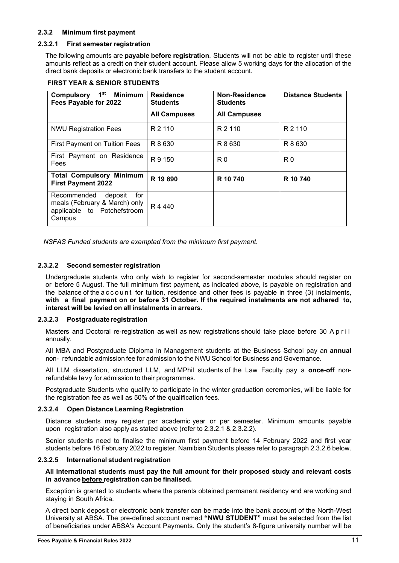#### <span id="page-11-0"></span>**2.3.2 Minimum first payment**

#### **2.3.2.1 First semester registration**

The following amounts are **payable before registration**. Students will not be able to register until these amounts reflect as a credit on their student account. Please allow 5 working days for the allocation of the direct bank deposits or electronic bank transfers to the student account.

| 1 <sup>st</sup><br><b>Minimum</b><br><b>Compulsory</b><br>Fees Payable for 2022                         | <b>Residence</b><br><b>Students</b> | <b>Non-Residence</b><br><b>Students</b> | <b>Distance Students</b> |
|---------------------------------------------------------------------------------------------------------|-------------------------------------|-----------------------------------------|--------------------------|
|                                                                                                         | <b>All Campuses</b>                 | <b>All Campuses</b>                     |                          |
| <b>NWU Registration Fees</b>                                                                            | R 2 110                             | R 2 110                                 | R 2 110                  |
| First Payment on Tuition Fees                                                                           | R 8 630                             | R 8 6 3 0                               | R 8 6 3 0                |
| First Payment on Residence<br>Fees                                                                      | R 9 150                             | R <sub>0</sub>                          | R <sub>0</sub>           |
| <b>Total Compulsory Minimum</b><br><b>First Payment 2022</b>                                            | R 19 890                            | R 10 740                                | R 10 740                 |
| Recommended<br>deposit<br>for<br>meals (February & March) only<br>applicable to Potchefstroom<br>Campus | R4440                               |                                         |                          |

 *NSFAS Funded students are exempted from the minimum first payment.*

#### **2.3.2.2 Second semester registration**

Undergraduate students who only wish to register for second-semester modules should register on or before 5 August. The full minimum first payment, as indicated above, is payable on registration and the balance of the account for tuition, residence and other fees is payable in three (3) instalments, **with a final payment on or before 31 October. If the required instalments are not adhered to, interest will be levied on all instalments in arrears**.

#### **2.3.2.3 Postgraduate registration**

Masters and Doctoral re-registration as well as new registrations should take place before 30 April annually.

All MBA and Postgraduate Diploma in Management students at the Business School pay an **annual** non- refundable admission fee for admission to the NWU School for Business and Governance.

All LLM dissertation, structured LLM, and MPhil students of the Law Faculty pay a **once-off** nonrefundable levy for admission to their programmes.

Postgraduate Students who qualify to participate in the winter graduation ceremonies, will be liable for the registration fee as well as 50% of the qualification fees.

#### **2.3.2.4 Open Distance Learning Registration**

Distance students may register per academic year or per semester. Minimum amounts payable upon registration also apply as stated above (refer to 2.3.2.1 & 2.3.2.2).

Senior students need to finalise the minimum first payment before 14 February 2022 and first year students before 16 February 2022 to register. Namibian Students please refer to paragraph 2.3.2.6 below.

#### **2.3.2.5 International student registration**

#### **All international students must pay the full amount for their proposed study and relevant costs in advance before registration can be finalised.**

Exception is granted to students where the parents obtained permanent residency and are working and staying in South Africa.

A direct bank deposit or electronic bank transfer can be made into the bank account of the North-West University at ABSA. The pre-defined account named **"NWU STUDENT"** must be selected from the list of beneficiaries under ABSA's Account Payments. Only the student's 8-figure university number will be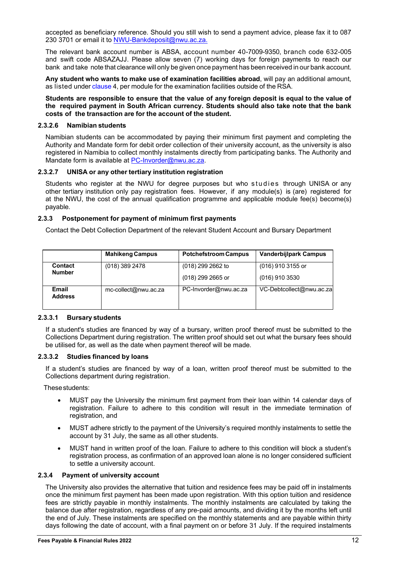accepted as beneficiary reference. Should you still wish to send a payment advice, please fax it to 087 230 3701 or email it to [NWU-Bankdeposit@nwu.ac.za.](mailto:NWU-Bankdeposit@nwu.ac.za.)

The relevant bank account number is ABSA, account number 40-7009-9350, branch code 632-005 and swift code ABSAZAJJ. Please allow seven (7) working days for foreign payments to reach our bank and take note that clearance will only be given once payment has been received in our bank account.

**Any student who wants to make use of examination facilities abroad**, will pay an additional amount, as listed under [clause](#page-16-4) [4,](#page-16-4) per module for the examination facilities outside of the RSA.

**Students are responsible to ensure that the value of any foreign deposit is equal to the value of the required payment in South African currency. Students should also take note that the bank costs of the transaction are for the account of the student.**

#### **2.3.2.6 Namibian students**

Namibian students can be accommodated by paying their minimum first payment and completing the Authority and Mandate form for debit order collection of their university account, as the university is also registered in Namibia to collect monthly instalments directly from participating banks. The Authority and Mandate form is available at PC-Invorder@nwu.ac.za.

#### **2.3.2.7 UNISA or any other tertiary institution registration**

Students who register at the NWU for degree purposes but who studies through UNISA or any other tertiary institution only pay registration fees. However, if any module(s) is (are) registered for at the NWU, the cost of the annual qualification programme and applicable module fee(s) become(s) payable.

#### <span id="page-12-0"></span>**2.3.3 Postponement for payment of minimum first payments**

Contact the Debt Collection Department of the relevant Student Account and Bursary Department

|                          | <b>Mahikeng Campus</b> | <b>Potchefstroom Campus</b> | <b>Vanderbijlpark Campus</b> |
|--------------------------|------------------------|-----------------------------|------------------------------|
| Contact<br><b>Number</b> | $(018)$ 389 2478       | (018) 299 2662 to           | (016) 910 3155 or            |
|                          |                        | (018) 299 2665 or           | $(016)$ 910 3530             |
| Email<br><b>Address</b>  | mc-collect@nwu.ac.za   | PC-Invorder@nwu.ac.za       | VC-Debtcollect@nwu.ac.za     |

#### **2.3.3.1 Bursary students**

If a student's studies are financed by way of a bursary, written proof thereof must be submitted to the Collections Department during registration. The written proof should set out what the bursary fees should be utilised for, as well as the date when payment thereof will be made.

#### **2.3.3.2 Studies financed by loans**

If a student's studies are financed by way of a loan, written proof thereof must be submitted to the Collections department during registration.

Thesestudents:

- MUST pay the University the minimum first payment from their loan within 14 calendar days of registration. Failure to adhere to this condition will result in the immediate termination of registration, and
- MUST adhere strictly to the payment of the University's required monthly instalments to settle the account by 31 July, the same as all other students.
- MUST hand in written proof of the loan. Failure to adhere to this condition will block a student's registration process, as confirmation of an approved loan alone is no longer considered sufficient to settle a university account.

#### <span id="page-12-1"></span>**2.3.4 Payment of university account**

The University also provides the alternative that tuition and residence fees may be paid off in instalments once the minimum first payment has been made upon registration. With this option tuition and residence fees are strictly payable in monthly instalments. The monthly instalments are calculated by taking the balance due after registration, regardless of any pre-paid amounts, and dividing it by the months left until the end of July. These instalments are specified on the monthly statements and are payable within thirty days following the date of account, with a final payment on or before 31 July. If the required instalments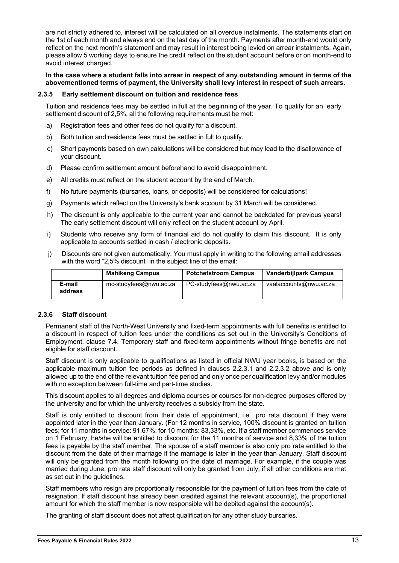are not strictly adhered to, interest will be calculated on all overdue instalments. The statements start on the 1st of each month and always end on the last day of the month. Payments after month-end would only reflect on the next month's statement and may result in interest being levied on arrear instalments. Again, please allow 5 working days to ensure the credit reflect on the student account before or on month-end to avoid interest charged.

#### **In the case where a student falls into arrear in respect of any outstanding amount in terms of the abovementioned terms of payment, the University shall levy interest in respect of such arrears.**

#### <span id="page-13-0"></span>**2.3.5 Early settlement discount on tuition and residence fees**

Tuition and residence fees may be settled in full at the beginning of the year. To qualify for an early settlement discount of 2,5%, all the following requirements must be met:

- a) Registration fees and other fees do not qualify for a discount.
- b) Both tuition and residence fees must be settled in full to qualify.
- c) Short payments based on own calculations will be considered but may lead to the disallowance of your discount.
- d) Please confirm settlement amount beforehand to avoid disappointment.
- e) All credits must reflect on the student account by the end of March.
- f) No future payments (bursaries, loans, or deposits) will be considered for calculations!
- g) Payments which reflect on the University's bank account by 31 March will be considered.
- h) The discount is only applicable to the current year and cannot be backdated for previous years! The early settlement discount will only reflect on the student account by April.
- i) Students who receive any form of financial aid do not qualify to claim this discount. It is only applicable to accounts settled in cash / electronic deposits.
- j) Discounts are not given automatically. You must apply in writing to the following email addresses with the word "2,5% discount" in the subject line of the email:

|                   | <b>Mahikeng Campus</b> | <b>Potchefstroom Campus</b> | <b>Vanderbijlpark Campus</b> |
|-------------------|------------------------|-----------------------------|------------------------------|
| E-mail<br>address | mc-studyfees@nwu.ac.za | PC-studyfees@nwu.ac.za      | vaalaccounts@nwu.ac.za       |

#### <span id="page-13-1"></span>**2.3.6 Staff discount**

Permanent staff of the North-West University and fixed-term appointments with full benefits is entitled to a discount in respect of tuition fees under the conditions as set out in the University's [Conditions of](https://intranet.nwu.ac.za/conditions-employment) [Employment,](https://intranet.nwu.ac.za/conditions-employment) clause 7.4. Temporary staff and fixed-term appointments without fringe benefits are not eligible for staff discount.

Staff discount is only applicable to qualifications as listed in official NWU year books, is based on the applicable maximum tuition fee periods as defined in clauses 2.2.3.1 and 2.2.3.2 above and is only allowed up to the end of the relevant tuition fee period and only once per qualification levy and/or modules with no exception between full-time and part-time studies.

This discount applies to all degrees and diploma courses or courses for non-degree purposes offered by the university and for which the university receives a subsidy from the state.

Staff is only entitled to discount from their date of appointment, i.e., pro rata discount if they were appointed later in the year than January. (For 12 months in service, 100% discount is granted on tuition fees; for 11 months in service: 91,67%; for 10 months: 83,33%, etc. If a staff member commences service on 1 February, he/she will be entitled to discount for the 11 months of service and 8,33% of the tuition fees is payable by the staff member. The spouse of a staff member is also only pro rata entitled to the discount from the date of their marriage if the marriage is later in the year than January. Staff discount will only be granted from the month following on the date of marriage. For example, if the couple was married during June, pro rata staff discount will only be granted from July, if all other conditions are met as set out in the guidelines.

Staff members who resign are proportionally responsible for the payment of tuition fees from the date of resignation. If staff discount has already been credited against the relevant account(s), the proportional amount for which the staff member is now responsible will be debited against the account(s).

The granting of staff discount does not affect qualification for any other study bursaries.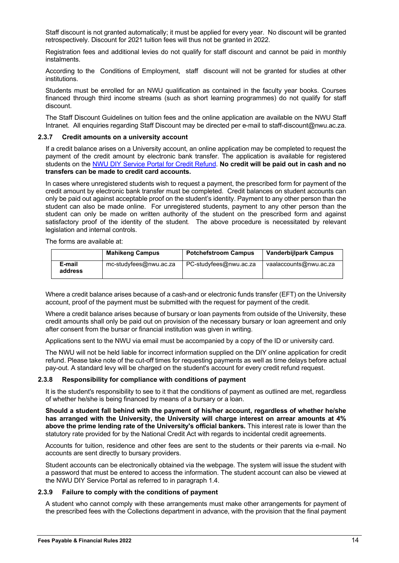Staff discount is not granted automatically; it must be applied for every year. No discount will be granted retrospectively. Discount for 2021 tuition fees will thus not be granted in 2022.

Registration fees and additional levies do not qualify for staff discount and cannot be paid in monthly instalments.

According to the [Conditions of Employment,](https://intranet.nwu.ac.za/conditions-employment) staff discount will not be granted for studies at other institutions.

Students must be enrolled for an NWU qualification as contained in the faculty year books. Courses financed through third income streams (such as short learning programmes) do not qualify for staff discount.

The Staff Discount Guidelines on tuition fees and the online application are available on the NWU Staff Intranet. All enquiries regarding Staff Discount may be directed per e-mail to [staff-discount@nwu.ac.za.](mailto:staff-discount@nwu.ac.za)

#### <span id="page-14-0"></span>**2.3.7 Credit amounts on a university account**

If a credit balance arises on a University account, an online application may be completed to request the payment of the credit amount by electronic bank transfer. The application is available for registered students on the NWU [DIY Service Portal for Credit Refund.](https://diyservices.nwu.ac.za/credit-refund) **No credit will be paid out in cash and no transfers can be made to credit card accounts.**

In cases where unregistered students wish to request a payment, the prescribed form for payment of the credit amount by electronic bank transfer must be completed. Credit balances on student accounts can only be paid out against acceptable proof on the student's identity. Payment to any other person than the student can also be made online. For unregistered students, payment to any other person than the student can only be made on written authority of the student on the prescribed form and against satisfactory proof of the identity of the student. The above procedure is necessitated by relevant legislation and internal controls.

The forms are available at:

|                   | <b>Mahikeng Campus</b> | <b>Potchefstroom Campus</b> | <b>Vanderbijlpark Campus</b> |
|-------------------|------------------------|-----------------------------|------------------------------|
| E-mail<br>address | mc-studyfees@nwu.ac.za | PC-studyfees@nwu.ac.za      | vaalaccounts@nwu.ac.za       |

Where a credit balance arises because of a cash-and or electronic funds transfer (EFT) on the University account, proof of the payment must be submitted with the request for payment of the credit.

Where a credit balance arises because of bursary or loan payments from outside of the University, these credit amounts shall only be paid out on provision of the necessary bursary or loan agreement and only after consent from the bursar or financial institution was given in writing.

Applications sent to the NWU via email must be accompanied by a copy of the ID or university card.

The NWU will not be held liable for incorrect information supplied on the DIY online application for credit refund. Please take note of the cut-off times for requesting payments as well as time delays before actual pay-out. A standard levy will be charged on the student's account for every credit refund request.

#### <span id="page-14-1"></span>**2.3.8 Responsibility for compliance with conditions of payment**

It is the student's responsibility to see to it that the conditions of payment as outlined are met, regardless of whether he/she is being financed by means of a bursary or a loan.

**Should a student fall behind with the payment of his/her account, regardless of whether he/she has arranged with the University, the University will charge interest on arrear amounts at 4% above the prime lending rate of the University's official bankers.** This interest rate is lower than the statutory rate provided for by the National Credit Act with regards to incidental credit agreements.

Accounts for tuition, residence and other fees are sent to the students or their parents via e-mail. No accounts are sent directly to bursary providers.

Student accounts can be electronically obtained via the webpage. The system will issue the student with a password that must be entered to access the information. The student account can also be viewed at the NWU DIY Service Portal as referred to in paragraph 1.4.

#### <span id="page-14-2"></span>**2.3.9 Failure to comply with the conditions of payment**

A student who cannot comply with these arrangements must make other arrangements for payment of the prescribed fees with the Collections department in advance, with the provision that the final payment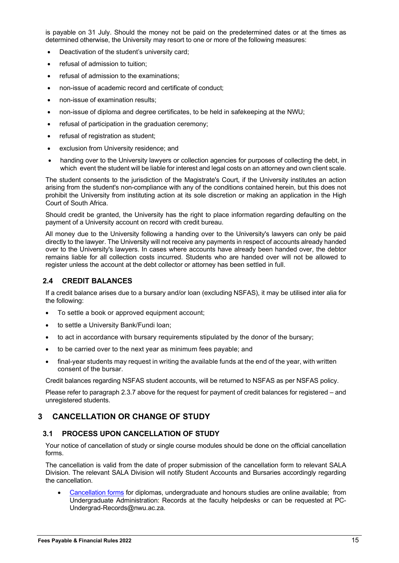is payable on 31 July. Should the money not be paid on the predetermined dates or at the times as determined otherwise, the University may resort to one or more of the following measures:

- Deactivation of the student's university card;
- refusal of admission to tuition:
- refusal of admission to the examinations;
- non-issue of academic record and certificate of conduct;
- non-issue of examination results;
- non-issue of diploma and degree certificates, to be held in safekeeping at the NWU;
- refusal of participation in the graduation ceremony;
- refusal of registration as student;
- exclusion from University residence; and
- handing over to the University lawyers or collection agencies for purposes of collecting the debt, in which event the student will be liable for interest and legal costs on an attorney and own client scale.

The student consents to the jurisdiction of the Magistrate's Court, if the University institutes an action arising from the student's non-compliance with any of the conditions contained herein, but this does not prohibit the University from instituting action at its sole discretion or making an application in the High Court of South Africa.

Should credit be granted, the University has the right to place information regarding defaulting on the payment of a University account on record with credit bureau.

All money due to the University following a handing over to the University's lawyers can only be paid directly to the lawyer. The University will not receive any payments in respect of accounts already handed over to the University's lawyers. In cases where accounts have already been handed over, the debtor remains liable for all collection costs incurred. Students who are handed over will not be allowed to register unless the account at the debt collector or attorney has been settled in full.

#### <span id="page-15-0"></span>**2.4 CREDIT BALANCES**

If a credit balance arises due to a bursary and/or loan (excluding NSFAS), it may be utilised inter alia for the following:

- To settle a book or approved equipment account;
- to settle a University Bank/Fundi loan;
- to act in accordance with bursary requirements stipulated by the donor of the bursary;
- to be carried over to the next year as minimum fees payable; and
- final-year students may request in writing the available funds at the end of the year, with written consent of the bursar.

Credit balances regarding NSFAS student accounts, will be returned to NSFAS as per NSFAS policy.

Please refer to paragraph 2.3.7 above for the request for payment of credit balances for registered – and unregistered students.

## <span id="page-15-1"></span>**3 CANCELLATION OR CHANGE OF STUDY**

#### <span id="page-15-2"></span>**3.1 PROCESS UPON CANCELLATION OF STUDY**

Your notice of cancellation of study or single course modules should be done on the official cancellation forms.

The cancellation is valid from the date of proper submission of the cancellation form to relevant SALA Division. The relevant SALA Division will notify Student Accounts and Bursaries accordingly regarding the cancellation.

• [Cancellation forms](http://services.nwu.ac.za/student-academic-lifecycle-administration/student-request-forms) for diplomas, undergraduate and honours studies are online available; from Undergraduate Administration: Records at the faculty helpdesks or can be requested at [PC-](mailto:PC-Undergrad-Records@nwu.ac.za)[Undergrad-Records@nwu.ac.za.](mailto:PC-Undergrad-Records@nwu.ac.za)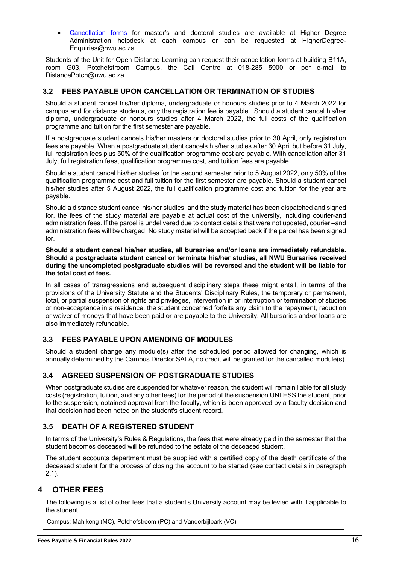• [Cancellation forms](http://studies.nwu.ac.za/postgraduate-studies/higher-degree-academic-lifecycle-forms-m-d?_ga=2.44332130.737952981.1638861786-1130886700.1624212730) for master's and doctoral studies are available at Higher Degree Administration helpdesk at each campus or can be requested at [HigherDegree-](mailto:HigherDegree-Enquiries@nwu.ac.za)[Enquiries@nwu.ac.za](mailto:HigherDegree-Enquiries@nwu.ac.za)

Students of the Unit for Open Distance Learning can request their cancellation forms at building B11A, room G03, Potchefstroom Campus, the Call Centre at 018-285 5900 or per e-mail to [DistancePotch@nwu.ac.za.](mailto:DistancePotch@nwu.ac.za)

#### <span id="page-16-0"></span>**3.2 FEES PAYABLE UPON CANCELLATION OR TERMINATION OF STUDIES**

Should a student cancel his/her diploma, undergraduate or honours studies prior to 4 March 2022 for campus and for distance students, only the registration fee is payable. Should a student cancel his/her diploma, undergraduate or honours studies after 4 March 2022, the full costs of the qualification programme and tuition for the first semester are payable.

If a postgraduate student cancels his/her masters or doctoral studies prior to 30 April, only registration fees are payable. When a postgraduate student cancels his/her studies after 30 April but before 31 July, full registration fees plus 50% of the qualification programme cost are payable. With cancellation after 31 July, full registration fees, qualification programme cost, and tuition fees are payable

Should a student cancel his/her studies for the second semester prior to 5 August 2022, only 50% of the qualification programme cost and full tuition for the first semester are payable. Should a student cancel his/her studies after 5 August 2022, the full qualification programme cost and tuition for the year are payable.

Should a distance student cancel his/her studies, and the study material has been dispatched and signed for, the fees of the study material are payable at actual cost of the university, including courier-and administration fees. If the parcel is undelivered due to contact details that were not updated, courier –and administration fees will be charged. No study material will be accepted back if the parcel has been signed for.

**Should a student cancel his/her studies, all bursaries and/or loans are immediately refundable. Should a postgraduate student cancel or terminate his/her studies, all NWU Bursaries received during the uncompleted postgraduate studies will be reversed and the student will be liable for the total cost of fees.**

In all cases of transgressions and subsequent disciplinary steps these might entail, in terms of the provisions of the University Statute and the Students' Disciplinary Rules, the temporary or permanent, total, or partial suspension of rights and privileges, intervention in or interruption or termination of studies or non-acceptance in a residence, the student concerned forfeits any claim to the repayment, reduction or waiver of moneys that have been paid or are payable to the University. All bursaries and/or loans are also immediately refundable.

#### <span id="page-16-1"></span>**3.3 FEES PAYABLE UPON AMENDING OF MODULES**

Should a student change any module(s) after the scheduled period allowed for changing, which is annually determined by the Campus Director SALA, no credit will be granted for the cancelled module(s).

#### <span id="page-16-2"></span>**3.4 AGREED SUSPENSION OF POSTGRADUATE STUDIES**

When postgraduate studies are suspended for whatever reason, the student will remain liable for all study costs (registration, tuition, and any other fees) for the period of the suspension UNLESS the student, prior to the suspension, obtained approval from the faculty, which is been approved by a faculty decision and that decision had been noted on the student's student record.

#### <span id="page-16-3"></span>**3.5 DEATH OF A REGISTERED STUDENT**

In terms of the University's Rules & Regulations, the fees that were already paid in the semester that the student becomes deceased will be refunded to the estate of the deceased student.

The student accounts department must be supplied with a certified copy of the death certificate of the deceased student for the process of closing the account to be started (see contact details in paragraph 2.1).

## <span id="page-16-4"></span>**4 OTHER FEES**

The following is a list of other fees that a student's University account may be levied with if applicable to the student.

Campus: Mahikeng (MC), Potchefstroom (PC) and Vanderbijlpark (VC)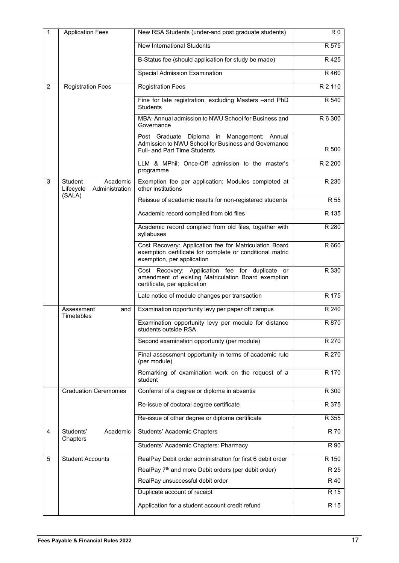| $\mathbf{1}$ | <b>Application Fees</b>                                             | New RSA Students (under-and post graduate students)                                                                                              | R <sub>0</sub> |
|--------------|---------------------------------------------------------------------|--------------------------------------------------------------------------------------------------------------------------------------------------|----------------|
|              |                                                                     | <b>New International Students</b>                                                                                                                | R 575          |
|              |                                                                     | B-Status fee (should application for study be made)                                                                                              | R425           |
|              |                                                                     | Special Admission Examination                                                                                                                    | R 460          |
| 2            | <b>Registration Fees</b>                                            | <b>Registration Fees</b>                                                                                                                         | R 2 110        |
|              |                                                                     | Fine for late registration, excluding Masters -and PhD<br><b>Students</b>                                                                        | R 540          |
|              |                                                                     | MBA: Annual admission to NWU School for Business and<br>Governance                                                                               | R 6 300        |
|              |                                                                     | Post Graduate Diploma in Management: Annual<br>Admission to NWU School for Business and Governance<br><b>Full- and Part Time Students</b>        | R 500          |
|              |                                                                     | LLM & MPhil: Once-Off admission to the master's<br>programme                                                                                     | R 2 200        |
| 3            | <b>Student</b><br>Academic<br>Lifecycle<br>Administration<br>(SALA) | Exemption fee per application: Modules completed at<br>other institutions                                                                        | R 230          |
|              |                                                                     | Reissue of academic results for non-registered students                                                                                          | R 55           |
|              |                                                                     | Academic record compiled from old files                                                                                                          | R 135          |
|              |                                                                     | Academic record complied from old files, together with<br>syllabuses                                                                             | R 280          |
|              |                                                                     | Cost Recovery: Application fee for Matriculation Board<br>exemption certificate for complete or conditional matric<br>exemption, per application | R 660          |
|              |                                                                     | Cost Recovery: Application fee for duplicate or<br>amendment of existing Matriculation Board exemption<br>certificate, per application           | R 330          |
|              |                                                                     | Late notice of module changes per transaction                                                                                                    | R 175          |
|              | Assessment<br>and<br>Timetables                                     | Examination opportunity levy per paper off campus                                                                                                | R 240          |
|              |                                                                     | Examination opportunity levy per module for distance<br>students outside RSA                                                                     | R 870          |
|              |                                                                     | Second examination opportunity (per module)                                                                                                      | R 270          |
|              |                                                                     | Final assessment opportunity in terms of academic rule<br>(per module)                                                                           | R 270          |
|              |                                                                     | Remarking of examination work on the request of a<br>student                                                                                     | R 170          |
|              | <b>Graduation Ceremonies</b>                                        | Conferral of a degree or diploma in absentia                                                                                                     | R 300          |
|              |                                                                     | Re-issue of doctoral degree certificate                                                                                                          | R 375          |
|              |                                                                     | Re-issue of other degree or diploma certificate                                                                                                  | R 355          |
| 4            | Students'<br>Academic<br>Chapters                                   | Students' Academic Chapters                                                                                                                      | R 70           |
|              |                                                                     | Students' Academic Chapters: Pharmacy                                                                                                            | R 90           |
| 5            | <b>Student Accounts</b>                                             | RealPay Debit order administration for first 6 debit order                                                                                       | R 150          |
|              |                                                                     | RealPay 7 <sup>th</sup> and more Debit orders (per debit order)                                                                                  | R 25           |
|              |                                                                     | RealPay unsuccessful debit order                                                                                                                 | R 40           |
|              |                                                                     | Duplicate account of receipt                                                                                                                     | R 15           |
|              |                                                                     | Application for a student account credit refund                                                                                                  | R 15           |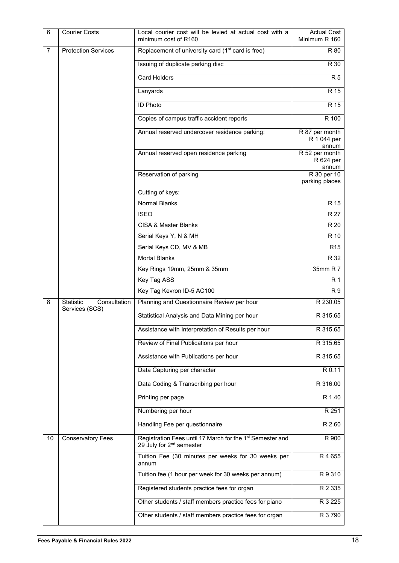| 6              | <b>Courier Costs</b>             | Local courier cost will be levied at actual cost with a<br>minimum cost of R160                               | <b>Actual Cost</b><br>Minimum R 160        |
|----------------|----------------------------------|---------------------------------------------------------------------------------------------------------------|--------------------------------------------|
| $\overline{7}$ | <b>Protection Services</b>       | Replacement of university card (1 <sup>st</sup> card is free)                                                 | R 80                                       |
|                |                                  | Issuing of duplicate parking disc                                                                             | R 30                                       |
|                |                                  | <b>Card Holders</b>                                                                                           | $\overline{R5}$                            |
|                |                                  | Lanyards                                                                                                      | R 15                                       |
|                |                                  | <b>ID Photo</b>                                                                                               | R 15                                       |
|                |                                  | Copies of campus traffic accident reports                                                                     | R 100                                      |
|                |                                  | Annual reserved undercover residence parking:                                                                 | R 87 per month<br>R 1 044 per<br>annum     |
|                |                                  | Annual reserved open residence parking                                                                        | R 52 per month<br>R 624 per<br>annum       |
|                |                                  | Reservation of parking                                                                                        | $\overline{R}$ 30 per 10<br>parking places |
|                |                                  | Cutting of keys:                                                                                              |                                            |
|                |                                  | <b>Normal Blanks</b>                                                                                          | R 15                                       |
|                |                                  | <b>ISEO</b>                                                                                                   | R 27                                       |
|                |                                  | <b>CISA &amp; Master Blanks</b>                                                                               | R 20                                       |
|                |                                  | Serial Keys Y, N & MH                                                                                         | R 10                                       |
|                |                                  | Serial Keys CD, MV & MB                                                                                       | R <sub>15</sub>                            |
|                |                                  | <b>Mortal Blanks</b>                                                                                          | R 32<br>35mm R 7                           |
|                |                                  | Key Rings 19mm, 25mm & 35mm<br>Key Tag ASS                                                                    | R <sub>1</sub>                             |
|                |                                  | Key Tag Kevron ID-5 AC100                                                                                     | R 9                                        |
| 8              | <b>Statistic</b><br>Consultation | Planning and Questionnaire Review per hour                                                                    | R 230.05                                   |
|                | Services (SCS)                   | Statistical Analysis and Data Mining per hour                                                                 | R 315.65                                   |
|                |                                  |                                                                                                               |                                            |
|                |                                  | Assistance with Interpretation of Results per hour                                                            | R 315.65                                   |
|                |                                  | Review of Final Publications per hour                                                                         | R 315.65                                   |
|                |                                  | Assistance with Publications per hour                                                                         | R 315.65                                   |
|                |                                  | Data Capturing per character                                                                                  | R 0.11                                     |
|                |                                  | Data Coding & Transcribing per hour                                                                           | R 316.00                                   |
|                |                                  | Printing per page                                                                                             | R 1.40                                     |
|                |                                  | Numbering per hour                                                                                            | R 251                                      |
|                |                                  | Handling Fee per questionnaire                                                                                | R 2.60                                     |
| 10             | <b>Conservatory Fees</b>         | Registration Fees until 17 March for the 1 <sup>st</sup> Semester and<br>29 July for 2 <sup>nd</sup> semester | R 900                                      |
|                |                                  | Tuition Fee (30 minutes per weeks for 30 weeks per<br>annum                                                   | R 4 655                                    |
|                |                                  | Tuition fee (1 hour per week for 30 weeks per annum)                                                          | R9310                                      |
|                |                                  | Registered students practice fees for organ                                                                   | R 2 3 3 5                                  |
|                |                                  | Other students / staff members practice fees for piano                                                        | R 3 2 2 5                                  |
|                |                                  | Other students / staff members practice fees for organ                                                        | R 3 790                                    |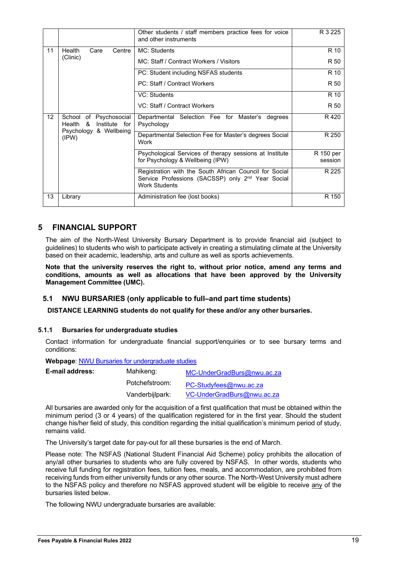|                                                                                                     |                          | Other students / staff members practice fees for voice<br>and other instruments                                                                 | R 3 225              |
|-----------------------------------------------------------------------------------------------------|--------------------------|-------------------------------------------------------------------------------------------------------------------------------------------------|----------------------|
| 11                                                                                                  | Centre<br>Health<br>Care | MC: Students                                                                                                                                    | R 10                 |
|                                                                                                     | (Clinic)                 | MC: Staff / Contract Workers / Visitors                                                                                                         | R 50                 |
|                                                                                                     |                          | PC: Student including NSFAS students                                                                                                            | R 10                 |
|                                                                                                     |                          | PC: Staff / Contract Workers                                                                                                                    | R 50                 |
|                                                                                                     |                          | VC: Students                                                                                                                                    | R 10                 |
|                                                                                                     |                          | VC: Staff / Contract Workers                                                                                                                    | R 50                 |
| 12<br>of Psychosocial<br>School<br>Health<br>୍ୟ<br>Institute for<br>Psychology & Wellbeing<br>(IPW) |                          | Departmental Selection Fee for Master's degrees<br>Psychology                                                                                   | R 420                |
|                                                                                                     |                          | Departmental Selection Fee for Master's degrees Social<br>Work                                                                                  | R 250                |
|                                                                                                     |                          | Psychological Services of therapy sessions at Institute<br>for Psychology & Wellbeing (IPW)                                                     | R 150 per<br>session |
|                                                                                                     |                          | Registration with the South African Council for Social<br>Service Professions (SACSSP) only 2 <sup>nd</sup> Year Social<br><b>Work Students</b> | R 225                |
| 13                                                                                                  | Library                  | Administration fee (lost books)                                                                                                                 | R 150                |

## <span id="page-19-0"></span>**5 FINANCIAL SUPPORT**

The aim of the North-West University Bursary Department is to provide financial aid (subject to guidelines) to students who wish to participate actively in creating a stimulating climate at the University based on their academic, leadership, arts and culture as well as sports achievements.

**Note that the university reserves the right to, without prior notice, amend any terms and conditions, amounts as well as allocations that have been approved by the University Management Committee (UMC).**

#### <span id="page-19-1"></span>**5.1 NWU BURSARIES (only applicable to full–and part time students)**

**DISTANCE LEARNING students do not qualify for these and/or any other bursaries.**

#### <span id="page-19-2"></span>**5.1.1 Bursaries for undergraduate studies**

Contact information for undergraduate financial support/enquiries or to see bursary terms and conditions:

**Webpage**: [NWU Bursaries for undergraduate studies](http://studies.nwu.ac.za/financial-support-services/bursaries-undergraduate-studies)

| E-mail address: | Mahikeng:       | MC-UnderGradBurs@nwu.ac.za |
|-----------------|-----------------|----------------------------|
|                 | Potchefstroom:  | PC-Studyfees@nwu.ac.za     |
|                 | Vanderbijlpark: | VC-UnderGradBurs@nwu.ac.za |

All bursaries are awarded only for the acquisition of a first qualification that must be obtained within the minimum period (3 or 4 years) of the qualification registered for in the first year. Should the student change his/her field of study, this condition regarding the initial qualification's minimum period of study, remains valid.

The University's target date for pay-out for all these bursaries is the end of March.

Please note: The NSFAS (National Student Financial Aid Scheme) policy prohibits the allocation of any/all other bursaries to students who are fully covered by NSFAS. In other words, students who receive full funding for registration fees, tuition fees, meals, and accommodation, are prohibited from receiving funds from either university funds or any other source. The North-West University must adhere to the NSFAS policy and therefore no NSFAS approved student will be eligible to receive any of the bursaries listed below.

The following NWU undergraduate bursaries are available: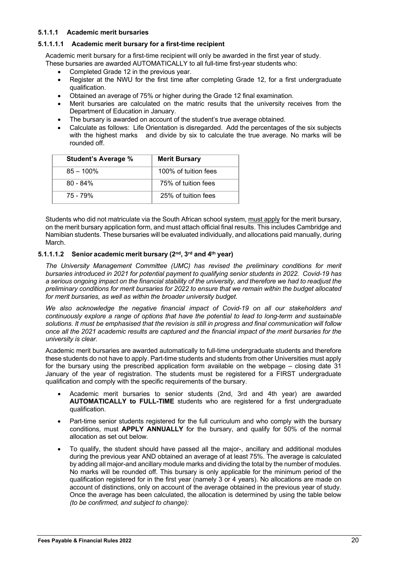#### **5.1.1.1 Academic merit bursaries**

#### **5.1.1.1.1 Academic merit bursary for a first-time recipient**

Academic merit bursary for a first-time recipient will only be awarded in the first year of study. These bursaries are awarded AUTOMATICALLY to all full-time first-year students who:

- Completed Grade 12 in the previous year.
- Register at the NWU for the first time after completing Grade 12, for a first undergraduate qualification.
- Obtained an average of 75% or higher during the Grade 12 final examination.
- Merit bursaries are calculated on the matric results that the university receives from the Department of Education in January.
- The bursary is awarded on account of the student's true average obtained.
- Calculate as follows: Life Orientation is disregarded. Add the percentages of the six subjects with the highest marks and divide by six to calculate the true average. No marks will be rounded off.

| <b>Student's Average %</b> | <b>Merit Bursary</b> |
|----------------------------|----------------------|
| $85 - 100\%$               | 100% of tuition fees |
| $80 - 84\%$                | 75% of tuition fees  |
| 75 - 79%                   | 25% of tuition fees  |

Students who did not matriculate via the South African school system, must apply for the merit bursary, on the merit bursary application form, and must attach official final results. This includes Cambridge and Namibian students. These bursaries will be evaluated individually, and allocations paid manually, during March.

#### **5.1.1.1.2 Senior academic merit bursary (2nd, 3rd and 4th year)**

*The University Management Committee (UMC) has revised the preliminary conditions for merit bursaries introduced in 2021 for potential payment to qualifying senior students in 2022. Covid-19 has a serious ongoing impact on the financial stability of the university, and therefore we had to readjust the preliminary conditions for merit bursaries for 2022 to ensure that we remain within the budget allocated for merit bursaries, as well as within the broader university budget.*

*We also acknowledge the negative financial impact of Covid-19 on all our stakeholders and continuously explore a range of options that have the potential to lead to long-term and sustainable solutions. It must be emphasised that the revision is still in progress and final communication will follow once all the 2021 academic results are captured and the financial impact of the merit bursaries for the university is clear.*

Academic merit bursaries are awarded automatically to full-time undergraduate students and therefore these students do not have to apply. Part-time students and students from other Universities must apply for the bursary using the prescribed application form available on the webpage – closing date 31 January of the year of registration. The students must be registered for a FIRST undergraduate qualification and comply with the specific requirements of the bursary.

- Academic merit bursaries to senior students (2nd, 3rd and 4th year) are awarded **AUTOMATICALLY to FULL-TIME** students who are registered for a first undergraduate qualification.
- Part-time senior students registered for the full curriculum and who comply with the bursary conditions, must **APPLY ANNUALLY** for the bursary, and qualify for 50% of the normal allocation as set out below.
- To qualify, the student should have passed all the major-, ancillary and additional modules during the previous year AND obtained an average of at least 75%. The average is calculated by adding all major-and ancillary module marks and dividing the total by the number of modules. No marks will be rounded off. This bursary is only applicable for the minimum period of the qualification registered for in the first year (namely 3 or 4 years). No allocations are made on account of distinctions, only on account of the average obtained in the previous year of study. Once the average has been calculated, the allocation is determined by using the table below *(to be confirmed, and subject to change):*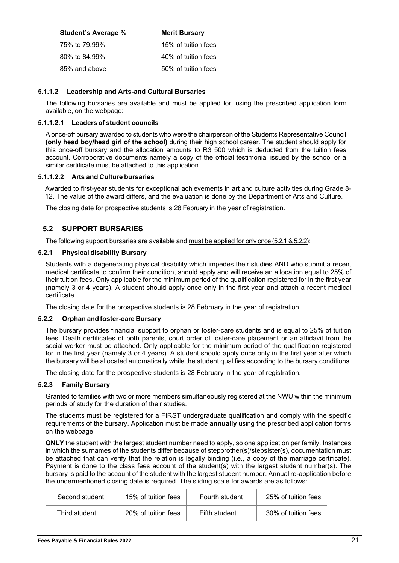| <b>Student's Average %</b> | <b>Merit Bursary</b> |
|----------------------------|----------------------|
| 75% to 79,99%              | 15% of tuition fees  |
| 80% to 84,99%              | 40% of tuition fees  |
| 85% and above              | 50% of tuition fees  |

#### **5.1.1.2 Leadership and Arts-and Cultural Bursaries**

The following bursaries are available and must be applied for, using the prescribed application form available, on the webpage:

#### **5.1.1.2.1 Leaders of student councils**

A once-off bursary awarded to students who were the chairperson of the Students Representative Council **(only head boy/head girl of the school)** during their high school career. The student should apply for this once-off bursary and the allocation amounts to R3 500 which is deducted from the tuition fees account. Corroborative documents namely a copy of the official testimonial issued by the school or a similar certificate must be attached to this application.

#### **5.1.1.2.2 Arts and Culture bursaries**

Awarded to first-year students for exceptional achievements in art and culture activities during Grade 8- 12. The value of the award differs, and the evaluation is done by the Department of Arts and Culture.

The closing date for prospective students is 28 February in the year of registration.

#### <span id="page-21-0"></span>**5.2 SUPPORT BURSARIES**

The following support bursaries are available and must be applied for only once (5.2.1 & 5.2.2):

#### <span id="page-21-1"></span>**5.2.1 Physical disability Bursary**

Students with a degenerating physical disability which impedes their studies AND who submit a recent medical certificate to confirm their condition, should apply and will receive an allocation equal to 25% of their tuition fees. Only applicable for the minimum period of the qualification registered for in the first year (namely 3 or 4 years). A student should apply once only in the first year and attach a recent medical certificate.

The closing date for the prospective students is 28 February in the year of registration.

#### <span id="page-21-2"></span>**5.2.2 Orphan and foster-care Bursary**

The bursary provides financial support to orphan or foster-care students and is equal to 25% of tuition fees. Death certificates of both parents, court order of foster-care placement or an affidavit from the social worker must be attached. Only applicable for the minimum period of the qualification registered for in the first year (namely 3 or 4 years). A student should apply once only in the first year after which the bursary will be allocated automatically while the student qualifies according to the bursary conditions.

The closing date for the prospective students is 28 February in the year of registration.

#### <span id="page-21-3"></span>**5.2.3 Family Bursary**

Granted to families with two or more members simultaneously registered at the NWU within the minimum periods of study for the duration of their studies.

The students must be registered for a FIRST undergraduate qualification and comply with the specific requirements of the bursary. Application must be made **annually** using the prescribed application forms on the webpage.

**ONLY** the student with the largest student number need to apply, so one application per family. Instances in which the surnames of the students differ because of stepbrother(s)/stepsister(s), documentation must be attached that can verify that the relation is legally binding (i.e., a copy of the marriage certificate). Payment is done to the class fees account of the student(s) with the largest student number(s). The bursary is paid to the account of the student with the largest student number. Annual re-application before the undermentioned closing date is required. The sliding scale for awards are as follows:

| Second student | 15% of tuition fees | Fourth student | 25% of tuition fees |
|----------------|---------------------|----------------|---------------------|
| Third student  | 20% of tuition fees | Fifth student  | 30% of tuition fees |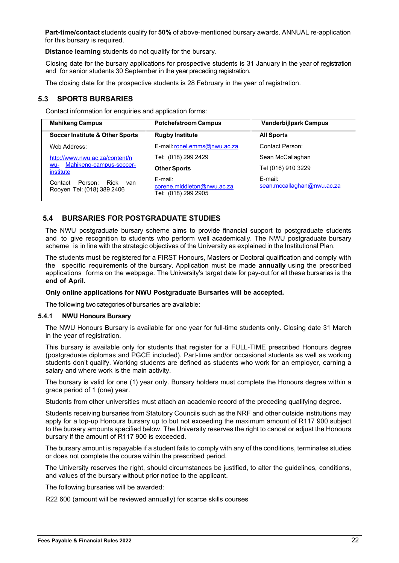**Part-time/contact** students qualify for **50%** of above-mentioned bursary awards. ANNUAL re-application for this bursary is required.

**Distance learning** students do not qualify for the bursary.

Closing date for the bursary applications for prospective students is 31 January in the year of registration and for senior students 30 September in the year preceding registration.

The closing date for the prospective students is 28 February in the year of registration.

#### <span id="page-22-0"></span>**5.3 SPORTS BURSARIES**

Contact information for enquiries and application forms:

| <b>Mahikeng Campus</b>                                          | <b>Potchefstroom Campus</b>                                  | <b>Vanderbijlpark Campus</b>          |
|-----------------------------------------------------------------|--------------------------------------------------------------|---------------------------------------|
| <b>Soccer Institute &amp; Other Sports</b>                      | <b>Rugby Institute</b>                                       | <b>All Sports</b>                     |
| Web Address:                                                    | E-mail: ronel.emms@nwu.ac.za                                 | Contact Person:                       |
| http://www.nwu.ac.za/content/n                                  | Tel: (018) 299 2429                                          | Sean McCallaghan                      |
| Mahikeng-campus-soccer-<br>wu-<br>institute                     | <b>Other Sports</b>                                          | Tel (016) 910 3229                    |
| Rick<br>Contact<br>Person:<br>van<br>Rooyen Tel: (018) 389 2406 | E-mail:<br>corene.middleton@nwu.ac.za<br>Tel: (018) 299 2905 | E-mail:<br>sean.mccallaghan@nwu.ac.za |

#### <span id="page-22-1"></span>**5.4 BURSARIES FOR POSTGRADUATE STUDIES**

The NWU postgraduate bursary scheme aims to provide financial support to postgraduate students and to give recognition to students who perform well academically. The NWU postgraduate bursary scheme is in line with the strategic objectives of the University as explained in the Institutional Plan.

The students must be registered for a FIRST Honours, Masters or Doctoral qualification and comply with the specific requirements of the bursary. Application must be made **annually** using the prescribed applications forms on the webpage. The University's target date for pay-out for all these bursaries is the **end of April.**

#### **Only online applications for NWU Postgraduate Bursaries will be accepted.**

The following two categories of bursaries are available:

#### <span id="page-22-2"></span>**5.4.1 NWU Honours Bursary**

The NWU Honours Bursary is available for one year for full-time students only. Closing date 31 March in the year of registration.

This bursary is available only for students that register for a FULL-TIME prescribed Honours degree (postgraduate diplomas and PGCE included). Part-time and/or occasional students as well as working students don't qualify. Working students are defined as students who work for an employer, earning a salary and where work is the main activity.

The bursary is valid for one (1) year only. Bursary holders must complete the Honours degree within a grace period of 1 (one) year.

Students from other universities must attach an academic record of the preceding qualifying degree.

Students receiving bursaries from Statutory Councils such as the NRF and other outside institutions may apply for a top-up Honours bursary up to but not exceeding the maximum amount of R117 900 subject to the bursary amounts specified below. The University reserves the right to cancel or adjust the Honours bursary if the amount of R117 900 is exceeded.

The bursary amount is repayable if a student fails to comply with any of the conditions, terminates studies or does not complete the course within the prescribed period.

The University reserves the right, should circumstances be justified, to alter the guidelines, conditions, and values of the bursary without prior notice to the applicant.

The following bursaries will be awarded:

R22 600 (amount will be reviewed annually) for scarce skills courses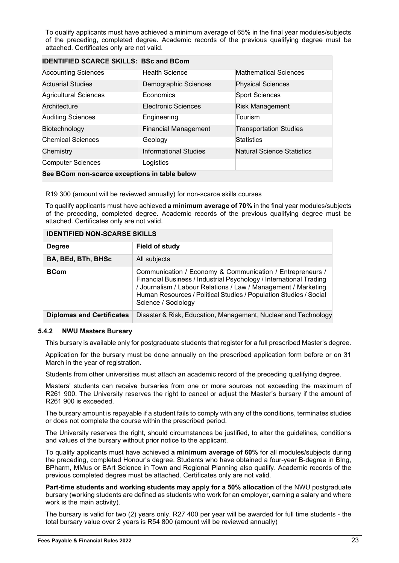To qualify applicants must have achieved a minimum average of 65% in the final year modules/subjects of the preceding, completed degree. Academic records of the previous qualifying degree must be attached. Certificates only are not valid.

| <b>IDENTIFIED SCARCE SKILLS: BSc and BCom</b> |                             |                                   |  |  |
|-----------------------------------------------|-----------------------------|-----------------------------------|--|--|
| <b>Accounting Sciences</b>                    | <b>Health Science</b>       | <b>Mathematical Sciences</b>      |  |  |
| <b>Actuarial Studies</b>                      | Demographic Sciences        | <b>Physical Sciences</b>          |  |  |
| Agricultural Sciences                         | Economics                   | <b>Sport Sciences</b>             |  |  |
| Architecture                                  | Electronic Sciences         | <b>Risk Management</b>            |  |  |
| <b>Auditing Sciences</b>                      | Engineering                 | Tourism                           |  |  |
| Biotechnology                                 | <b>Financial Management</b> | <b>Transportation Studies</b>     |  |  |
| <b>Chemical Sciences</b>                      | Geology                     | <b>Statistics</b>                 |  |  |
| Chemistry                                     | Informational Studies       | <b>Natural Science Statistics</b> |  |  |
| <b>Computer Sciences</b>                      | Logistics                   |                                   |  |  |
| See BCom non-scarce exceptions in table below |                             |                                   |  |  |

R19 300 (amount will be reviewed annually) for non-scarce skills courses

To qualify applicants must have achieved **a minimum average of 70%** in the final year modules/subjects of the preceding, completed degree. Academic records of the previous qualifying degree must be attached. Certificates only are not valid.

| <b>IDENTIFIED NON-SCARSE SKILLS</b> |                                                                                                                                                                                                                                                                                               |  |
|-------------------------------------|-----------------------------------------------------------------------------------------------------------------------------------------------------------------------------------------------------------------------------------------------------------------------------------------------|--|
| <b>Degree</b>                       | <b>Field of study</b>                                                                                                                                                                                                                                                                         |  |
| <b>BA, BEd, BTh, BHSc</b>           | All subjects                                                                                                                                                                                                                                                                                  |  |
| <b>BCom</b>                         | Communication / Economy & Communication / Entrepreneurs /<br>Financial Business / Industrial Psychology / International Trading<br>/ Journalism / Labour Relations / Law / Management / Marketing<br>Human Resources / Political Studies / Population Studies / Social<br>Science / Sociology |  |
| <b>Diplomas and Certificates</b>    | Disaster & Risk, Education, Management, Nuclear and Technology                                                                                                                                                                                                                                |  |

#### <span id="page-23-0"></span>**5.4.2 NWU Masters Bursary**

This bursary is available only for postgraduate students that register for a full prescribed Master's degree.

Application for the bursary must be done annually on the prescribed application form before or on 31 March in the year of registration.

Students from other universities must attach an academic record of the preceding qualifying degree.

Masters' students can receive bursaries from one or more sources not exceeding the maximum of R261 900. The University reserves the right to cancel or adjust the Master's bursary if the amount of R261 900 is exceeded.

The bursary amount is repayable if a student fails to comply with any of the conditions, terminates studies or does not complete the course within the prescribed period.

The University reserves the right, should circumstances be justified, to alter the guidelines, conditions and values of the bursary without prior notice to the applicant.

To qualify applicants must have achieved **a minimum average of 60%** for all modules/subjects during the preceding, completed Honour's degree. Students who have obtained a four-year B-degree in BIng, BPharm, MMus or BArt Science in Town and Regional Planning also qualify. Academic records of the previous completed degree must be attached. Certificates only are not valid.

**Part-time students and working students may apply for a 50% allocation** of the NWU postgraduate bursary (working students are defined as students who work for an employer, earning a salary and where work is the main activity).

The bursary is valid for two (2) years only. R27 400 per year will be awarded for full time students - the total bursary value over 2 years is R54 800 (amount will be reviewed annually)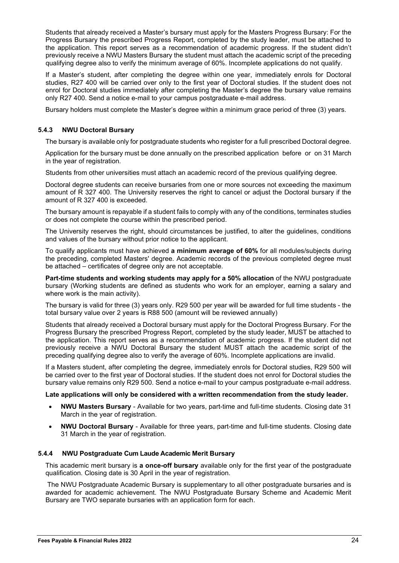Students that already received a Master's bursary must apply for the Masters Progress Bursary: For the Progress Bursary the prescribed Progress Report, completed by the study leader, must be attached to the application. This report serves as a recommendation of academic progress. If the student didn't previously receive a NWU Masters Bursary the student must attach the academic script of the preceding qualifying degree also to verify the minimum average of 60%. Incomplete applications do not qualify.

If a Master's student, after completing the degree within one year, immediately enrols for Doctoral studies, R27 400 will be carried over only to the first year of Doctoral studies. If the student does not enrol for Doctoral studies immediately after completing the Master's degree the bursary value remains only R27 400. Send a notice e-mail to your campus postgraduate e-mail address.

Bursary holders must complete the Master's degree within a minimum grace period of three (3) years.

#### <span id="page-24-0"></span>**5.4.3 NWU Doctoral Bursary**

The bursary is available only for postgraduate students who register for a full prescribed Doctoral degree.

Application for the bursary must be done annually on the prescribed application before or on 31 March in the year of registration.

Students from other universities must attach an academic record of the previous qualifying degree.

Doctoral degree students can receive bursaries from one or more sources not exceeding the maximum amount of R 327 400. The University reserves the right to cancel or adjust the Doctoral bursary if the amount of R 327 400 is exceeded.

The bursary amount is repayable if a student fails to comply with any of the conditions, terminates studies or does not complete the course within the prescribed period.

The University reserves the right, should circumstances be justified, to alter the guidelines, conditions and values of the bursary without prior notice to the applicant.

To qualify applicants must have achieved **a minimum average of 60%** for all modules/subjects during the preceding, completed Masters' degree. Academic records of the previous completed degree must be attached – certificates of degree only are not acceptable.

**Part-time students and working students may apply for a 50% allocation** of the NWU postgraduate bursary (Working students are defined as students who work for an employer, earning a salary and where work is the main activity).

The bursary is valid for three (3) years only. R29 500 per year will be awarded for full time students - the total bursary value over 2 years is R88 500 (amount will be reviewed annually)

Students that already received a Doctoral bursary must apply for the Doctoral Progress Bursary. For the Progress Bursary the prescribed Progress Report, completed by the study leader, MUST be attached to the application. This report serves as a recommendation of academic progress. If the student did not previously receive a NWU Doctoral Bursary the student MUST attach the academic script of the preceding qualifying degree also to verify the average of 60%. Incomplete applications are invalid.

If a Masters student, after completing the degree, immediately enrols for Doctoral studies, R29 500 will be carried over to the first year of Doctoral studies. If the student does not enrol for Doctoral studies the bursary value remains only R29 500. Send a notice e-mail to your campus postgraduate e-mail address.

#### **Late applications will only be considered with a written recommendation from the study leader.**

- **NWU Masters Bursary** Available for two years, part-time and full-time students. Closing date 31 March in the year of registration.
- **NWU Doctoral Bursary** Available for three years, part-time and full-time students. Closing date 31 March in the year of registration.

#### <span id="page-24-1"></span>**5.4.4 NWU Postgraduate Cum Laude Academic Merit Bursary**

This academic merit bursary is **a once-off bursary** available only for the first year of the postgraduate qualification. Closing date is 30 April in the year of registration.

The NWU Postgraduate Academic Bursary is supplementary to all other postgraduate bursaries and is awarded for academic achievement. The NWU Postgraduate Bursary Scheme and Academic Merit Bursary are TWO separate bursaries with an application form for each.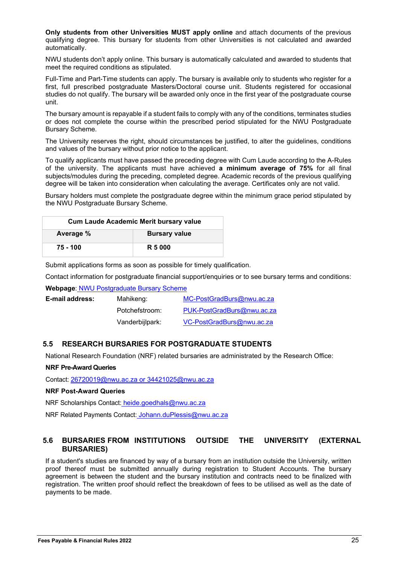**Only students from other Universities MUST apply online** and attach documents of the previous qualifying degree. This bursary for students from other Universities is not calculated and awarded automatically.

NWU students don't apply online. This bursary is automatically calculated and awarded to students that meet the required conditions as stipulated.

Full-Time and Part-Time students can apply. The bursary is available only to students who register for a first, full prescribed postgraduate Masters/Doctoral course unit. Students registered for occasional studies do not qualify. The bursary will be awarded only once in the first year of the postgraduate course unit.

The bursary amount is repayable if a student fails to comply with any of the conditions, terminates studies or does not complete the course within the prescribed period stipulated for the NWU Postgraduate Bursary Scheme.

The University reserves the right, should circumstances be justified, to alter the guidelines, conditions and values of the bursary without prior notice to the applicant.

To qualify applicants must have passed the preceding degree with Cum Laude according to the A-Rules of the university. The applicants must have achieved **a minimum average of 75%** for all final subjects/modules during the preceding, completed degree. Academic records of the previous qualifying degree will be taken into consideration when calculating the average. Certificates only are not valid.

Bursary holders must complete the postgraduate degree within the minimum grace period stipulated by the NWU Postgraduate Bursary Scheme.

| <b>Cum Laude Academic Merit bursary value</b> |                      |  |
|-----------------------------------------------|----------------------|--|
| Average %                                     | <b>Bursary value</b> |  |
| 75 - 100                                      | R 5 000              |  |

Submit applications forms as soon as possible for timely qualification.

Contact information for postgraduate financial support/enquiries or to see bursary terms and conditions:

#### **Webpage**: [NWU Postgraduate Bursary Scheme](http://studies.nwu.ac.za/financial-support-services/nwu-postgraduate-bursary-scheme)

| E-mail address: | Mahikeng:       | MC-PostGradBurs@nwu.ac.za  |  |
|-----------------|-----------------|----------------------------|--|
|                 | Potchefstroom:  | PUK-PostGradBurs@nwu.ac.za |  |
|                 | Vanderbijlpark: | VC-PostGradBurs@nwu.ac.za  |  |

#### <span id="page-25-0"></span>**5.5 RESEARCH BURSARIES FOR POSTGRADUATE STUDENTS**

National Research Foundation (NRF) related bursaries are administrated by the Research Office:

#### **NRF Pre-Award Queries**

Contact: [26720019@nwu.ac.za](mailto:26720019@nwu.ac.za) or [34421025@nwu.ac.za](mailto:34421025@nwu.ac.za)

#### **NRF Post-Award Queries**

NRF Scholarships Contact: [heide.goedhals@nwu.ac.za](mailto:heide.goedhals@nwu.ac.za)

NRF Related Payments Contact: Johann.duPlessis@nwu.ac.za

#### <span id="page-25-1"></span>**5.6 BURSARIES FROM INSTITUTIONS OUTSIDE THE UNIVERSITY (EXTERNAL BURSARIES)**

If a student's studies are financed by way of a bursary from an institution outside the University, written proof thereof must be submitted annually during registration to Student Accounts. The bursary agreement is between the student and the bursary institution and contracts need to be finalized with registration. The written proof should reflect the breakdown of fees to be utilised as well as the date of payments to be made.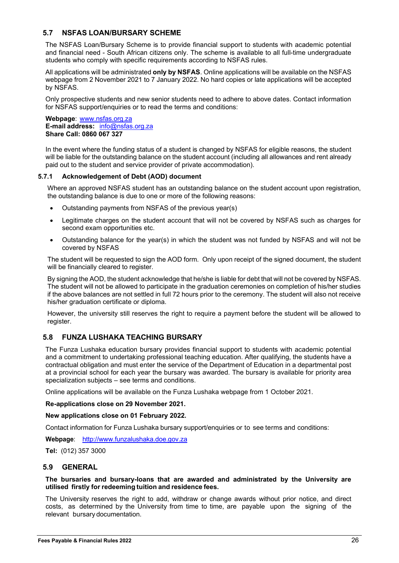### <span id="page-26-0"></span>**5.7 NSFAS LOAN/BURSARY SCHEME**

The NSFAS Loan/Bursary Scheme is to provide financial support to students with academic potential and financial need - South African citizens only. The scheme is available to all full-time undergraduate students who comply with specific requirements according to NSFAS rules.

All applications will be administrated **only by NSFAS**. Online applications will be available on the NSFAS webpage from 2 November 2021 to 7 January 2022. No hard copies or late applications will be accepted by NSFAS.

Only prospective students and new senior students need to adhere to above dates. Contact information for NSFAS support/enquiries or to read the terms and conditions:

**Webpage**: [www.nsfas.org.za](http://www.nsfas.org.za/) **E-mail address:** [info@nsfas.org.za](mailto:info@nsfas.org.za) **Share Call: 0860 067 327**

In the event where the funding status of a student is changed by NSFAS for eligible reasons, the student will be liable for the outstanding balance on the student account (including all allowances and rent already paid out to the student and service provider of private accommodation).

#### <span id="page-26-1"></span>**5.7.1 Acknowledgement of Debt (AOD) document**

Where an approved NSFAS student has an outstanding balance on the student account upon registration, the outstanding balance is due to one or more of the following reasons:

- Outstanding payments from NSFAS of the previous year(s)
- Legitimate charges on the student account that will not be covered by NSFAS such as charges for second exam opportunities etc.
- Outstanding balance for the year(s) in which the student was not funded by NSFAS and will not be covered by NSFAS

 The student will be requested to sign the AOD form. Only upon receipt of the signed document, the student will be financially cleared to register.

By signing the AOD, the student acknowledge that he/she is liable for debt that will not be covered by NSFAS. The student will not be allowed to participate in the graduation ceremonies on completion of his/her studies if the above balances are not settled in full 72 hours prior to the ceremony. The student will also not receive his/her graduation certificate or diploma.

However, the university still reserves the right to require a payment before the student will be allowed to register.

#### <span id="page-26-2"></span>**5.8 FUNZA LUSHAKA TEACHING BURSARY**

The Funza Lushaka education bursary provides financial support to students with academic potential and a commitment to undertaking professional teaching education. After qualifying, the students have a contractual obligation and must enter the service of the Department of Education in a departmental post at a provincial school for each year the bursary was awarded. The bursary is available for priority area specialization subjects – see terms and conditions.

Online applications will be available on the Funza Lushaka webpage from 1 October 2021.

#### **Re-applications close on 29 November 2021.**

#### **New applications close on 01 February 2022.**

Contact information for Funza Lushaka bursary support/enquiries or to see terms and conditions:

**Webpage**: [http://www.funzalushaka.doe.gov.za](http://www.funzalushaka.doe.gov.za/)

**Tel:** (012) 357 3000

#### <span id="page-26-3"></span>**5.9 GENERAL**

#### **The bursaries and bursary-loans that are awarded and administrated by the University are utilised firstly for redeeming tuition and residence fees.**

The University reserves the right to add, withdraw or change awards without prior notice, and direct costs, as determined by the University from time to time, are payable upon the signing of the relevant bursary documentation.